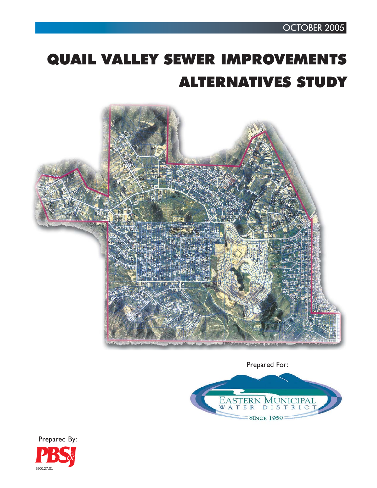# QUAIL VALLEY SEWER IMPROVEMENTS ALTERNATIVES STUDY



Prepared For:



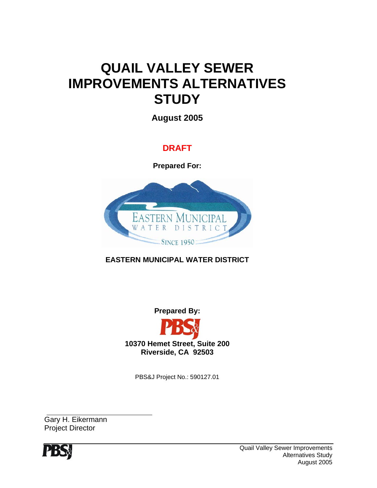## **QUAIL VALLEY SEWER IMPROVEMENTS ALTERNATIVES STUDY**

**August 2005** 

### **DRAFT**

**Prepared For:** 



**EASTERN MUNICIPAL WATER DISTRICT** 

**Prepared By:** 



PBS&J Project No.: 590127.01

Gary H. Eikermann Project Director

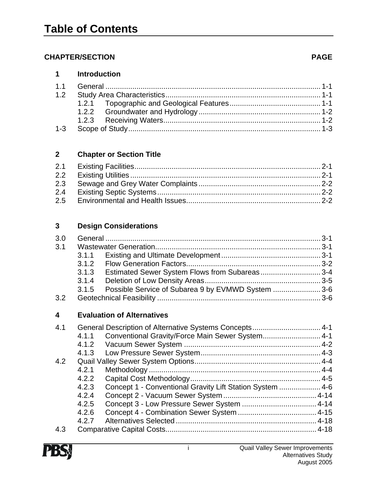#### **CHAPTER/SECTION PAGE**

| <b>Introduction</b><br>1 |
|--------------------------|
|--------------------------|

#### **2 Chapter or Section Title**

| 2.3 |  |
|-----|--|
| 2.4 |  |
|     |  |

#### **3 Design Considerations**

| 3.0              |                                                            |  |
|------------------|------------------------------------------------------------|--|
| 3.1              |                                                            |  |
|                  | 3.1.1                                                      |  |
|                  | 3.1.2                                                      |  |
|                  | Estimated Sewer System Flows from Subareas3-4<br>3.1.3     |  |
|                  | 3.1.4                                                      |  |
|                  | Possible Service of Subarea 9 by EVMWD System 3-6<br>3.1.5 |  |
| 3.2 <sub>2</sub> |                                                            |  |
|                  |                                                            |  |
|                  |                                                            |  |
| 4                | <b>Evaluation of Alternatives</b>                          |  |
| 4.1              | General Description of Alternative Systems Concepts 4-1    |  |
|                  | Conventional Gravity/Force Main Sewer System 4-1<br>4.1.1  |  |
|                  |                                                            |  |
|                  |                                                            |  |
| 4.2              |                                                            |  |
|                  | 4.2.1                                                      |  |

- 4.2.3 Concept 1 Conventional Gravity Lift Station System .................... 4-6 4.2.4 Concept 2 - Vacuum Sewer System ............................................. 4-14 4.2.5 Concept 3 - Low Pressure Sewer System .................................... 4-14
- 4.2.6 Concept 4 Combination Sewer System ...................................... 4-15 4.2.7 Alternatives Selected .................................................................... 4-18 4.3 Comparative Capital Costs......................................................................... 4-18

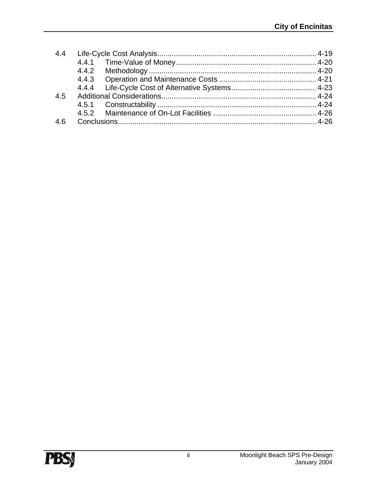| 4.4 |  |  |
|-----|--|--|
|     |  |  |
|     |  |  |
|     |  |  |
|     |  |  |
| 4.5 |  |  |
|     |  |  |
|     |  |  |
| 4.6 |  |  |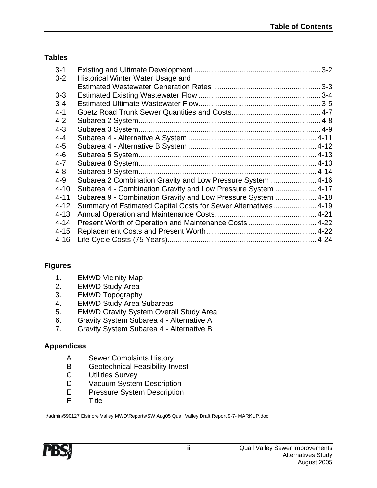#### **Tables**

| $3 - 1$  |                                                                |  |
|----------|----------------------------------------------------------------|--|
| $3 - 2$  | Historical Winter Water Usage and                              |  |
|          |                                                                |  |
| $3 - 3$  |                                                                |  |
| $3 - 4$  |                                                                |  |
| $4 - 1$  |                                                                |  |
| $4 - 2$  |                                                                |  |
| $4 - 3$  |                                                                |  |
| $4 - 4$  |                                                                |  |
| $4 - 5$  |                                                                |  |
| $4 - 6$  |                                                                |  |
| $4 - 7$  |                                                                |  |
| $4 - 8$  |                                                                |  |
| $4 - 9$  | Subarea 2 Combination Gravity and Low Pressure System  4-16    |  |
| $4 - 10$ | Subarea 4 - Combination Gravity and Low Pressure System  4-17  |  |
| $4 - 11$ | Subarea 9 - Combination Gravity and Low Pressure System  4-18  |  |
| $4 - 12$ | Summary of Estimated Capital Costs for Sewer Alternatives 4-19 |  |
| $4 - 13$ |                                                                |  |
| $4 - 14$ | Present Worth of Operation and Maintenance Costs 4-22          |  |
| $4 - 15$ |                                                                |  |
| $4 - 16$ |                                                                |  |

#### **Figures**

- 1. EMWD Vicinity Map
- 2. EMWD Study Area
- 3. EMWD Topography
- 4. EMWD Study Area Subareas
- 5. EMWD Gravity System Overall Study Area
- 6. Gravity System Subarea 4 Alternative A
- 7. Gravity System Subarea 4 Alternative B

#### **Appendices**

- A Sewer Complaints History
- B Geotechnical Feasibility Invest
- C Utilities Survey
- D Vacuum System Description
- E Pressure System Description<br>F Title
- **Title**

I:\admin\590127 Elsinore Valley MWD\Reports\SW Aug05 Quail Valley Draft Report 9-7- MARKUP.doc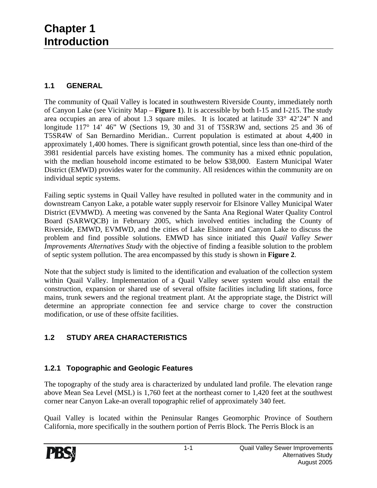#### **1.1 GENERAL**

The community of Quail Valley is located in southwestern Riverside County, immediately north of Canyon Lake (see Vicinity Map – **Figure 1**). It is accessible by both I-15 and I-215. The study area occupies an area of about 1.3 square miles. It is located at latitude 33° 42'24" N and longitude 117° 14' 46" W (Sections 19, 30 and 31 of T5SR3W and, sections 25 and 36 of T5SR4W of San Bernardino Meridian.. Current population is estimated at about 4,400 in approximately 1,400 homes. There is significant growth potential, since less than one-third of the 3981 residential parcels have existing homes. The community has a mixed ethnic population, with the median household income estimated to be below \$38,000. Eastern Municipal Water District (EMWD) provides water for the community. All residences within the community are on individual septic systems.

Failing septic systems in Quail Valley have resulted in polluted water in the community and in downstream Canyon Lake, a potable water supply reservoir for Elsinore Valley Municipal Water District (EVMWD). A meeting was convened by the Santa Ana Regional Water Quality Control Board (SARWQCB) in February 2005, which involved entities including the County of Riverside, EMWD, EVMWD, and the cities of Lake Elsinore and Canyon Lake to discuss the problem and find possible solutions. EMWD has since initiated this *Quail Valley Sewer Improvements Alternatives Study* with the objective of finding a feasible solution to the problem of septic system pollution. The area encompassed by this study is shown in **Figure 2**.

Note that the subject study is limited to the identification and evaluation of the collection system within Quail Valley. Implementation of a Quail Valley sewer system would also entail the construction, expansion or shared use of several offsite facilities including lift stations, force mains, trunk sewers and the regional treatment plant. At the appropriate stage, the District will determine an appropriate connection fee and service charge to cover the construction modification, or use of these offsite facilities.

#### **1.2 STUDY AREA CHARACTERISTICS**

#### **1.2.1 Topographic and Geologic Features**

The topography of the study area is characterized by undulated land profile. The elevation range above Mean Sea Level (MSL) is 1,760 feet at the northeast corner to 1,420 feet at the southwest corner near Canyon Lake-an overall topographic relief of approximately 340 feet.

Quail Valley is located within the Peninsular Ranges Geomorphic Province of Southern California, more specifically in the southern portion of Perris Block. The Perris Block is an

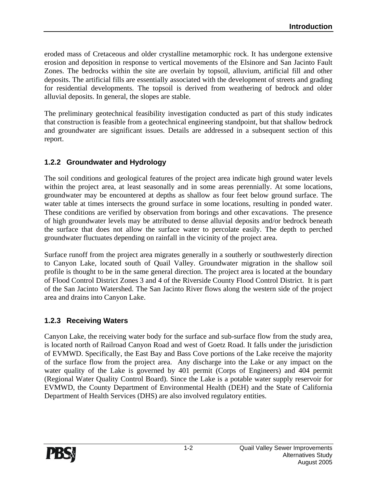eroded mass of Cretaceous and older crystalline metamorphic rock. It has undergone extensive erosion and deposition in response to vertical movements of the Elsinore and San Jacinto Fault Zones. The bedrocks within the site are overlain by topsoil, alluvium, artificial fill and other deposits. The artificial fills are essentially associated with the development of streets and grading for residential developments. The topsoil is derived from weathering of bedrock and older alluvial deposits. In general, the slopes are stable.

The preliminary geotechnical feasibility investigation conducted as part of this study indicates that construction is feasible from a geotechnical engineering standpoint, but that shallow bedrock and groundwater are significant issues. Details are addressed in a subsequent section of this report.

#### **1.2.2 Groundwater and Hydrology**

The soil conditions and geological features of the project area indicate high ground water levels within the project area, at least seasonally and in some areas perennially. At some locations, groundwater may be encountered at depths as shallow as four feet below ground surface. The water table at times intersects the ground surface in some locations, resulting in ponded water. These conditions are verified by observation from borings and other excavations. The presence of high groundwater levels may be attributed to dense alluvial deposits and/or bedrock beneath the surface that does not allow the surface water to percolate easily. The depth to perched groundwater fluctuates depending on rainfall in the vicinity of the project area.

Surface runoff from the project area migrates generally in a southerly or southwesterly direction to Canyon Lake, located south of Quail Valley. Groundwater migration in the shallow soil profile is thought to be in the same general direction. The project area is located at the boundary of Flood Control District Zones 3 and 4 of the Riverside County Flood Control District. It is part of the San Jacinto Watershed. The San Jacinto River flows along the western side of the project area and drains into Canyon Lake.

#### **1.2.3 Receiving Waters**

Canyon Lake, the receiving water body for the surface and sub-surface flow from the study area, is located north of Railroad Canyon Road and west of Goetz Road. It falls under the jurisdiction of EVMWD. Specifically, the East Bay and Bass Cove portions of the Lake receive the majority of the surface flow from the project area. Any discharge into the Lake or any impact on the water quality of the Lake is governed by 401 permit (Corps of Engineers) and 404 permit (Regional Water Quality Control Board). Since the Lake is a potable water supply reservoir for EVMWD, the County Department of Environmental Health (DEH) and the State of California Department of Health Services (DHS) are also involved regulatory entities.

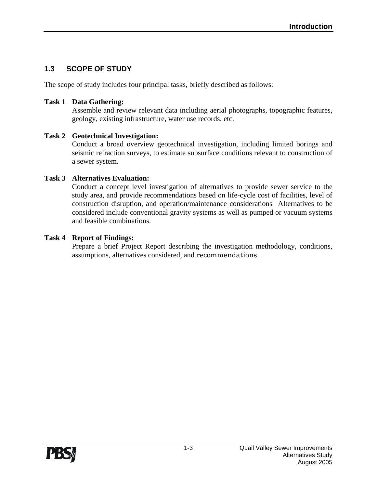#### **1.3 SCOPE OF STUDY**

The scope of study includes four principal tasks, briefly described as follows:

#### **Task 1 Data Gathering:**

 Assemble and review relevant data including aerial photographs, topographic features, geology, existing infrastructure, water use records, etc.

#### **Task 2 Geotechnical Investigation:**

 Conduct a broad overview geotechnical investigation, including limited borings and seismic refraction surveys, to estimate subsurface conditions relevant to construction of a sewer system.

#### **Task 3 Alternatives Evaluation:**

 Conduct a concept level investigation of alternatives to provide sewer service to the study area, and provide recommendations based on life-cycle cost of facilities, level of construction disruption, and operation/maintenance considerations Alternatives to be considered include conventional gravity systems as well as pumped or vacuum systems and feasible combinations.

#### **Task 4 Report of Findings:**

 Prepare a brief Project Report describing the investigation methodology, conditions, assumptions, alternatives considered, and recommendations.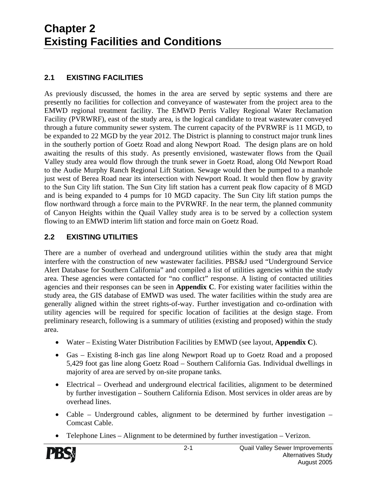#### **2.1 EXISTING FACILITIES**

As previously discussed, the homes in the area are served by septic systems and there are presently no facilities for collection and conveyance of wastewater from the project area to the EMWD regional treatment facility. The EMWD Perris Valley Regional Water Reclamation Facility (PVRWRF), east of the study area, is the logical candidate to treat wastewater conveyed through a future community sewer system. The current capacity of the PVRWRF is 11 MGD, to be expanded to 22 MGD by the year 2012. The District is planning to construct major trunk lines in the southerly portion of Goetz Road and along Newport Road. The design plans are on hold awaiting the results of this study. As presently envisioned, wastewater flows from the Quail Valley study area would flow through the trunk sewer in Goetz Road, along Old Newport Road to the Audie Murphy Ranch Regional Lift Station. Sewage would then be pumped to a manhole just west of Berea Road near its intersection with Newport Road. It would then flow by gravity to the Sun City lift station. The Sun City lift station has a current peak flow capacity of 8 MGD and is being expanded to 4 pumps for 10 MGD capacity. The Sun City lift station pumps the flow northward through a force main to the PVRWRF. In the near term, the planned community of Canyon Heights within the Quail Valley study area is to be served by a collection system flowing to an EMWD interim lift station and force main on Goetz Road.

#### **2.2 EXISTING UTILITIES**

There are a number of overhead and underground utilities within the study area that might interfere with the construction of new wastewater facilities. PBS&J used "Underground Service Alert Database for Southern California" and compiled a list of utilities agencies within the study area. These agencies were contacted for "no conflict" response. A listing of contacted utilities agencies and their responses can be seen in **Appendix C**. For existing water facilities within the study area, the GIS database of EMWD was used. The water facilities within the study area are generally aligned within the street rights-of-way. Further investigation and co-ordination with utility agencies will be required for specific location of facilities at the design stage. From preliminary research, following is a summary of utilities (existing and proposed) within the study area.

- Water Existing Water Distribution Facilities by EMWD (see layout, **Appendix C**).
- Gas Existing 8-inch gas line along Newport Road up to Goetz Road and a proposed 5,429 foot gas line along Goetz Road – Southern California Gas. Individual dwellings in majority of area are served by on-site propane tanks.
- Electrical Overhead and underground electrical facilities, alignment to be determined by further investigation – Southern California Edison. Most services in older areas are by overhead lines.
- Cable Underground cables, alignment to be determined by further investigation Comcast Cable.
- Telephone Lines Alignment to be determined by further investigation Verizon.

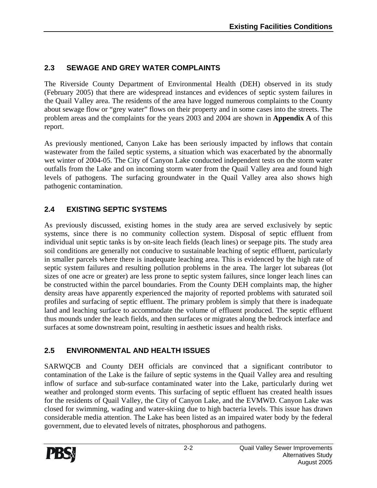#### **2.3 SEWAGE AND GREY WATER COMPLAINTS**

The Riverside County Department of Environmental Health (DEH) observed in its study (February 2005) that there are widespread instances and evidences of septic system failures in the Quail Valley area. The residents of the area have logged numerous complaints to the County about sewage flow or "grey water" flows on their property and in some cases into the streets. The problem areas and the complaints for the years 2003 and 2004 are shown in **Appendix A** of this report.

As previously mentioned, Canyon Lake has been seriously impacted by inflows that contain wastewater from the failed septic systems, a situation which was exacerbated by the abnormally wet winter of 2004-05. The City of Canyon Lake conducted independent tests on the storm water outfalls from the Lake and on incoming storm water from the Quail Valley area and found high levels of pathogens. The surfacing groundwater in the Quail Valley area also shows high pathogenic contamination.

#### **2.4 EXISTING SEPTIC SYSTEMS**

As previously discussed, existing homes in the study area are served exclusively by septic systems, since there is no community collection system. Disposal of septic effluent from individual unit septic tanks is by on-site leach fields (leach lines) or seepage pits. The study area soil conditions are generally not conducive to sustainable leaching of septic effluent, particularly in smaller parcels where there is inadequate leaching area. This is evidenced by the high rate of septic system failures and resulting pollution problems in the area. The larger lot subareas (lot sizes of one acre or greater) are less prone to septic system failures, since longer leach lines can be constructed within the parcel boundaries. From the County DEH complaints map, the higher density areas have apparently experienced the majority of reported problems with saturated soil profiles and surfacing of septic effluent. The primary problem is simply that there is inadequate land and leaching surface to accommodate the volume of effluent produced. The septic effluent thus mounds under the leach fields, and then surfaces or migrates along the bedrock interface and surfaces at some downstream point, resulting in aesthetic issues and health risks.

#### **2.5 ENVIRONMENTAL AND HEALTH ISSUES**

SARWQCB and County DEH officials are convinced that a significant contributor to contamination of the Lake is the failure of septic systems in the Quail Valley area and resulting inflow of surface and sub-surface contaminated water into the Lake, particularly during wet weather and prolonged storm events. This surfacing of septic effluent has created health issues for the residents of Quail Valley, the City of Canyon Lake, and the EVMWD. Canyon Lake was closed for swimming, wading and water-skiing due to high bacteria levels. This issue has drawn considerable media attention. The Lake has been listed as an impaired water body by the federal government, due to elevated levels of nitrates, phosphorous and pathogens.

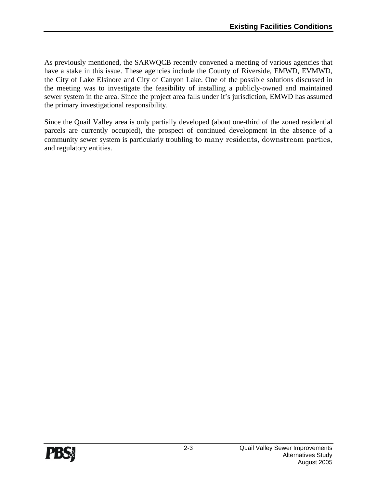As previously mentioned, the SARWQCB recently convened a meeting of various agencies that have a stake in this issue. These agencies include the County of Riverside, EMWD, EVMWD, the City of Lake Elsinore and City of Canyon Lake. One of the possible solutions discussed in the meeting was to investigate the feasibility of installing a publicly-owned and maintained sewer system in the area. Since the project area falls under it's jurisdiction, EMWD has assumed the primary investigational responsibility.

Since the Quail Valley area is only partially developed (about one-third of the zoned residential parcels are currently occupied), the prospect of continued development in the absence of a community sewer system is particularly troubling to many residents, downstream parties, and regulatory entities.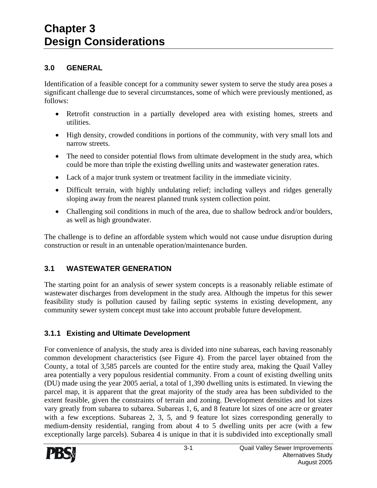#### **3.0 GENERAL**

Identification of a feasible concept for a community sewer system to serve the study area poses a significant challenge due to several circumstances, some of which were previously mentioned, as follows:

- Retrofit construction in a partially developed area with existing homes, streets and utilities.
- High density, crowded conditions in portions of the community, with very small lots and narrow streets.
- The need to consider potential flows from ultimate development in the study area, which could be more than triple the existing dwelling units and wastewater generation rates.
- Lack of a major trunk system or treatment facility in the immediate vicinity.
- Difficult terrain, with highly undulating relief; including valleys and ridges generally sloping away from the nearest planned trunk system collection point.
- Challenging soil conditions in much of the area, due to shallow bedrock and/or boulders, as well as high groundwater.

The challenge is to define an affordable system which would not cause undue disruption during construction or result in an untenable operation/maintenance burden.

#### **3.1 WASTEWATER GENERATION**

The starting point for an analysis of sewer system concepts is a reasonably reliable estimate of wastewater discharges from development in the study area. Although the impetus for this sewer feasibility study is pollution caused by failing septic systems in existing development, any community sewer system concept must take into account probable future development.

#### **3.1.1 Existing and Ultimate Development**

For convenience of analysis, the study area is divided into nine subareas, each having reasonably common development characteristics (see Figure 4). From the parcel layer obtained from the County, a total of 3,585 parcels are counted for the entire study area, making the Quail Valley area potentially a very populous residential community. From a count of existing dwelling units (DU) made using the year 2005 aerial, a total of 1,390 dwelling units is estimated. In viewing the parcel map, it is apparent that the great majority of the study area has been subdivided to the extent feasible, given the constraints of terrain and zoning. Development densities and lot sizes vary greatly from subarea to subarea. Subareas 1, 6, and 8 feature lot sizes of one acre or greater with a few exceptions. Subareas 2, 3, 5, and 9 feature lot sizes corresponding generally to medium-density residential, ranging from about 4 to 5 dwelling units per acre (with a few exceptionally large parcels). Subarea 4 is unique in that it is subdivided into exceptionally small

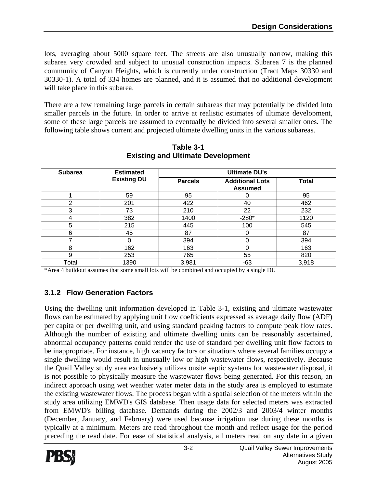lots, averaging about 5000 square feet. The streets are also unusually narrow, making this subarea very crowded and subject to unusual construction impacts. Subarea 7 is the planned community of Canyon Heights, which is currently under construction (Tract Maps 30330 and 30330-1). A total of 334 homes are planned, and it is assumed that no additional development will take place in this subarea.

There are a few remaining large parcels in certain subareas that may potentially be divided into smaller parcels in the future. In order to arrive at realistic estimates of ultimate development, some of these large parcels are assumed to eventually be divided into several smaller ones. The following table shows current and projected ultimate dwelling units in the various subareas.

| <b>Subarea</b> | <b>Estimated</b>   |                | <b>Ultimate DU's</b>                     |              |
|----------------|--------------------|----------------|------------------------------------------|--------------|
|                | <b>Existing DU</b> | <b>Parcels</b> | <b>Additional Lots</b><br><b>Assumed</b> | <b>Total</b> |
|                | 59                 | 95             |                                          | 95           |
| າ              | 201                | 422            | 40                                       | 462          |
| 3              | 73                 | 210            | 22                                       | 232          |
| 4              | 382                | 1400           | $-280*$                                  | 1120         |
| 5              | 215                | 445            | 100                                      | 545          |
| 6              | 45                 | 87             | 0                                        | 87           |
|                | 0                  | 394            | 0                                        | 394          |
| 8              | 162                | 163            | 0                                        | 163          |
| 9              | 253                | 765            | 55                                       | 820          |
| Total          | 1390               | 3,981          | $-63$                                    | 3,918        |

**Table 3-1 Existing and Ultimate Development** 

\*Area 4 buildout assumes that some small lots will be combined and occupied by a single DU

#### **3.1.2 Flow Generation Factors**

Using the dwelling unit information developed in Table 3-1, existing and ultimate wastewater flows can be estimated by applying unit flow coefficients expressed as average daily flow (ADF) per capita or per dwelling unit, and using standard peaking factors to compute peak flow rates. Although the number of existing and ultimate dwelling units can be reasonably ascertained, abnormal occupancy patterns could render the use of standard per dwelling unit flow factors to be inappropriate. For instance, high vacancy factors or situations where several families occupy a single dwelling would result in unusually low or high wastewater flows, respectively. Because the Quail Valley study area exclusively utilizes onsite septic systems for wastewater disposal, it is not possible to physically measure the wastewater flows being generated. For this reason, an indirect approach using wet weather water meter data in the study area is employed to estimate the existing wastewater flows. The process began with a spatial selection of the meters within the study area utilizing EMWD's GIS database. Then usage data for selected meters was extracted from EMWD's billing database. Demands during the 2002/3 and 2003/4 winter months (December, January, and February) were used because irrigation use during these months is typically at a minimum. Meters are read throughout the month and reflect usage for the period preceding the read date. For ease of statistical analysis, all meters read on any date in a given

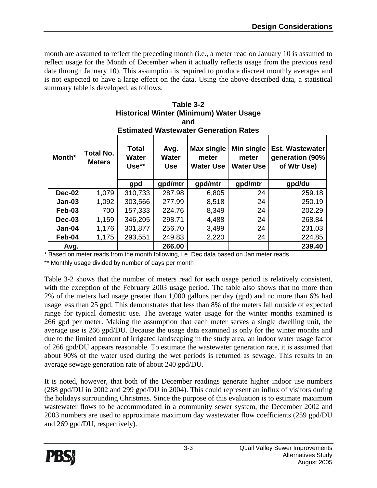month are assumed to reflect the preceding month (i.e., a meter read on January 10 is assumed to reflect usage for the Month of December when it actually reflects usage from the previous read date through January 10). This assumption is required to produce discreet monthly averages and is not expected to have a large effect on the data. Using the above-described data, a statistical summary table is developed, as follows.

| <b>Estimated Wastewater Generation Rates</b> |                                   |                                       |                                    |                                                |                                         |                                                          |  |  |  |
|----------------------------------------------|-----------------------------------|---------------------------------------|------------------------------------|------------------------------------------------|-----------------------------------------|----------------------------------------------------------|--|--|--|
| Month*                                       | <b>Total No.</b><br><b>Meters</b> | <b>Total</b><br><b>Water</b><br>Use** | Avg.<br><b>Water</b><br><b>Use</b> | <b>Max single</b><br>meter<br><b>Water Use</b> | Min single<br>meter<br><b>Water Use</b> | <b>Est. Wastewater</b><br>generation (90%<br>of Wtr Use) |  |  |  |
|                                              |                                   | gpd                                   | gpd/mtr                            | gpd/mtr                                        | gpd/mtr                                 | gpd/du                                                   |  |  |  |
| $Dec-02$                                     | 1,079                             | 310,733                               | 287.98                             | 6,805                                          | 24                                      | 259.18                                                   |  |  |  |
| $Jan-03$                                     | 1,092                             | 303,566                               | 277.99                             | 8,518                                          | 24                                      | 250.19                                                   |  |  |  |
| <b>Feb-03</b>                                | 700                               | 157,333                               | 224.76                             | 8,349                                          | 24                                      | 202.29                                                   |  |  |  |
| $Dec-03$                                     | 1,159                             | 346,205                               | 298.71                             | 4,488                                          | 24                                      | 268.84                                                   |  |  |  |
| $Jan-04$                                     | 1,176                             | 301,877                               | 256.70                             | 3,499                                          | 24                                      | 231.03                                                   |  |  |  |
| Feb-04                                       | 1,175                             | 293,551                               | 249.83                             | 2,220                                          | 24                                      | 224.85                                                   |  |  |  |
| Avg.                                         |                                   |                                       | 266.00                             |                                                |                                         | 239.40                                                   |  |  |  |

**Table 3-2 Historical Winter (Minimum) Water Usage and** 

\* Based on meter reads from the month following, i.e. Dec data based on Jan meter reads

\*\* Monthly usage divided by number of days per month

Table 3-2 shows that the number of meters read for each usage period is relatively consistent, with the exception of the February 2003 usage period. The table also shows that no more than 2% of the meters had usage greater than 1,000 gallons per day (gpd) and no more than 6% had usage less than 25 gpd. This demonstrates that less than 8% of the meters fall outside of expected range for typical domestic use. The average water usage for the winter months examined is 266 gpd per meter. Making the assumption that each meter serves a single dwelling unit, the average use is 266 gpd/DU. Because the usage data examined is only for the winter months and due to the limited amount of irrigated landscaping in the study area, an indoor water usage factor of 266 gpd/DU appears reasonable. To estimate the wastewater generation rate, it is assumed that about 90% of the water used during the wet periods is returned as sewage. This results in an average sewage generation rate of about 240 gpd/DU.

It is noted, however, that both of the December readings generate higher indoor use numbers (288 gpd/DU in 2002 and 299 gpd/DU in 2004). This could represent an influx of visitors during the holidays surrounding Christmas. Since the purpose of this evaluation is to estimate maximum wastewater flows to be accommodated in a community sewer system, the December 2002 and 2003 numbers are used to approximate maximum day wastewater flow coefficients (259 gpd/DU and 269 gpd/DU, respectively).

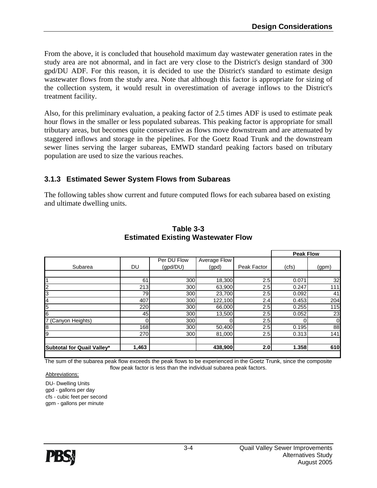From the above, it is concluded that household maximum day wastewater generation rates in the study area are not abnormal, and in fact are very close to the District's design standard of 300 gpd/DU ADF. For this reason, it is decided to use the District's standard to estimate design wastewater flows from the study area. Note that although this factor is appropriate for sizing of the collection system, it would result in overestimation of average inflows to the District's treatment facility.

Also, for this preliminary evaluation, a peaking factor of 2.5 times ADF is used to estimate peak hour flows in the smaller or less populated subareas. This peaking factor is appropriate for small tributary areas, but becomes quite conservative as flows move downstream and are attenuated by staggered inflows and storage in the pipelines. For the Goetz Road Trunk and the downstream sewer lines serving the larger subareas, EMWD standard peaking factors based on tributary population are used to size the various reaches.

#### **3.1.3 Estimated Sewer System Flows from Subareas**

The following tables show current and future computed flows for each subarea based on existing and ultimate dwelling units.

|                            |       |             |              |             | <b>Peak Flow</b> |       |
|----------------------------|-------|-------------|--------------|-------------|------------------|-------|
|                            |       | Per DU Flow | Average Flow |             |                  |       |
| Subarea                    | DU    | (gpd/DU)    | (gpd)        | Peak Factor | (cfs)            | (gpm) |
|                            |       |             |              |             |                  |       |
|                            | 61    | 300         | 18,300       | 2.5         | 0.071            | 32    |
| $\overline{c}$             | 213   | 300         | 63,900       | 2.5         | 0.247            | 111   |
| Ι3                         | 79    | 300         | 23,700       | 2.5         | 0.092            | 41    |
| 4                          | 407   | 300         | 122,100      | 2.4         | 0.453            | 204   |
| 5                          | 220   | 300         | 66,000       | 2.5         | 0.255            | 115   |
| 6                          | 45    | 300         | 13,500       | 2.5         | 0.052            | 23    |
| 7 (Canyon Heights)         |       | 300         |              | 2.5         |                  | 0     |
| 8                          | 168   | 300         | 50,400       | 2.5         | 0.195            | 88    |
| 9                          | 270   | 300         | 81,000       | 2.5         | 0.313            | 141   |
|                            |       |             |              |             |                  |       |
| Subtotal for Quail Valley* | 1,463 |             | 438,900      | 2.0         | 1.358            | 610   |

#### **Table 3-3 Estimated Existing Wastewater Flow**

The sum of the subarea peak flow exceeds the peak flows to be experienced in the Goetz Trunk, since the composite flow peak factor is less than the individual subarea peak factors.

Abbreviations:

DU- Dwelling Units gpd - gallons per day cfs - cubic feet per second gpm - gallons per minute

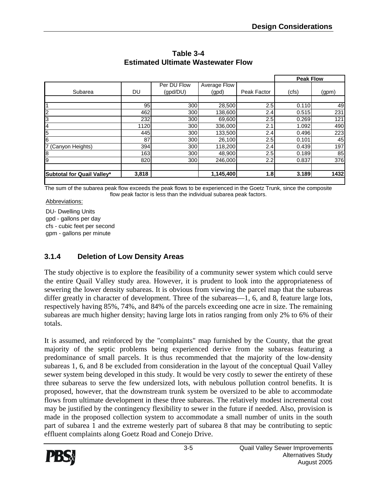|       |             |              |             | <b>Peak Flow</b> |       |
|-------|-------------|--------------|-------------|------------------|-------|
|       | Per DU Flow | Average Flow |             |                  |       |
| DU    | (gpd/DU)    | (gpd)        | Peak Factor | (cfs)            | (gpm) |
|       |             |              |             |                  |       |
| 95    | 300         | 28,500       | 2.5         | 0.110            | 49    |
| 462   | 300         | 138,600      | 2.4         | 0.515            | 231   |
| 232   | 300         | 69,600       | 2.5         | 0.269            | 121   |
| 1120  | 300         | 336,000      | 2.1         | 1.092            | 490   |
| 445   | 300         | 133,500      | 2.4         | 0.496            | 223   |
| 87    | 300         | 26,100       | 2.5         | 0.101            | 45    |
| 394   | 300         | 118,200      | 2.4         | 0.439            | 197   |
| 163   | 300         | 48,900       | 2.5         | 0.189            | 85    |
| 820   | 300         | 246,000      | 2.2         | 0.837            | 376   |
|       |             |              |             |                  |       |
| 3,818 |             | 1,145,400    | 1.8         | 3.189            | 1432  |
|       |             |              |             |                  |       |

**Table 3-4 Estimated Ultimate Wastewater Flow** 

The sum of the subarea peak flow exceeds the peak flows to be experienced in the Goetz Trunk, since the composite flow peak factor is less than the individual subarea peak factors.

Abbreviations:

DU- Dwelling Units gpd - gallons per day cfs - cubic feet per second gpm - gallons per minute

#### **3.1.4 Deletion of Low Density Areas**

The study objective is to explore the feasibility of a community sewer system which could serve the entire Quail Valley study area. However, it is prudent to look into the appropriateness of sewering the lower density subareas. It is obvious from viewing the parcel map that the subareas differ greatly in character of development. Three of the subareas—1, 6, and 8, feature large lots, respectively having 85%, 74%, and 84% of the parcels exceeding one acre in size. The remaining subareas are much higher density; having large lots in ratios ranging from only 2% to 6% of their totals.

It is assumed, and reinforced by the "complaints" map furnished by the County, that the great majority of the septic problems being experienced derive from the subareas featuring a predominance of small parcels. It is thus recommended that the majority of the low-density subareas 1, 6, and 8 be excluded from consideration in the layout of the conceptual Quail Valley sewer system being developed in this study. It would be very costly to sewer the entirety of these three subareas to serve the few undersized lots, with nebulous pollution control benefits. It is proposed, however, that the downstream trunk system be oversized to be able to accommodate flows from ultimate development in these three subareas. The relatively modest incremental cost may be justified by the contingency flexibility to sewer in the future if needed. Also, provision is made in the proposed collection system to accommodate a small number of units in the south part of subarea 1 and the extreme westerly part of subarea 8 that may be contributing to septic effluent complaints along Goetz Road and Conejo Drive.

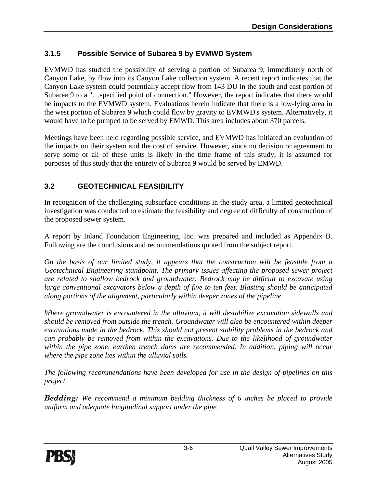#### **3.1.5 Possible Service of Subarea 9 by EVMWD System**

EVMWD has studied the possibility of serving a portion of Subarea 9, immediately north of Canyon Lake, by flow into its Canyon Lake collection system. A recent report indicates that the Canyon Lake system could potentially accept flow from 143 DU in the south and east portion of Subarea 9 to a "…specified point of connection." However, the report indicates that there would be impacts to the EVMWD system. Evaluations herein indicate that there is a low-lying area in the west portion of Subarea 9 which could flow by gravity to EVMWD's system. Alternatively, it would have to be pumped to be served by EMWD. This area includes about 370 parcels.

Meetings have been held regarding possible service, and EVMWD has initiated an evaluation of the impacts on their system and the cost of service. However, since no decision or agreement to serve some or all of these units is likely in the time frame of this study, it is assumed for purposes of this study that the entirety of Subarea 9 would be served by EMWD.

#### **3.2 GEOTECHNICAL FEASIBILITY**

In recognition of the challenging subsurface conditions in the study area, a limited geotechnical investigation was conducted to estimate the feasibility and degree of difficulty of construction of the proposed sewer system.

A report by Inland Foundation Engineering, Inc. was prepared and included as Appendix B. Following are the conclusions and recommendations quoted from the subject report.

*On the basis of our limited study, it appears that the construction will be feasible from a Geotechnical Engineering standpoint. The primary issues affecting the proposed sewer project are related to shallow bedrock and groundwater. Bedrock may be difficult to excavate using large conventional excavators below a depth of five to ten feet. Blasting should be anticipated along portions of the alignment, particularly within deeper zones of the pipeline.* 

*Where groundwater is encountered in the alluvium, it will destabilize excavation sidewalls and should be removed from outside the trench. Groundwater will also be encountered within deeper excavations made in the bedrock. This should not present stability problems in the bedrock and can probably be removed from within the excavations. Due to the likelihood of groundwater within the pipe zone, earthen trench dams are recommended. In addition, piping will occur where the pipe zone lies within the alluvial soils.* 

*The following recommendations have been developed for use in the design of pipelines on this project.* 

*Bedding: We recommend a minimum bedding thickness of 6 inches be placed to provide uniform and adequate longitudinal support under the pipe.* 

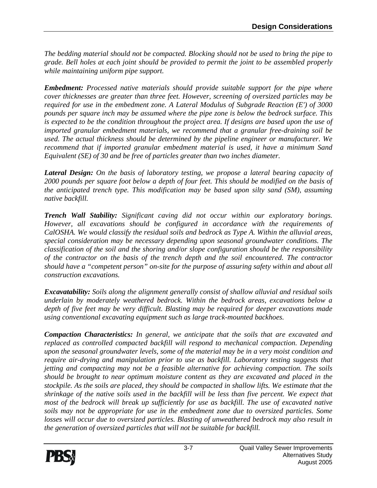*The bedding material should not be compacted. Blocking should not be used to bring the pipe to grade. Bell holes at each joint should be provided to permit the joint to be assembled properly while maintaining uniform pipe support.* 

*Embedment: Processed native materials should provide suitable support for the pipe where cover thicknesses are greater than three feet. However, screening of oversized particles may be required for use in the embedment zone. A Lateral Modulus of Subgrade Reaction (E') of 3000 pounds per square inch may be assumed where the pipe zone is below the bedrock surface. This*  is expected to be the condition throughout the project area. If designs are based upon the use of *imported granular embedment materials, we recommend that a granular free-draining soil be used. The actual thickness should be determined by the pipeline engineer or manufacturer. We recommend that if imported granular embedment material is used, it have a minimum Sand Equivalent (SE) of 30 and be free of particles greater than two inches diameter.* 

*Lateral Design: On the basis of laboratory testing, we propose a lateral bearing capacity of 2000 pounds per square foot below a depth of four feet. This should be modified on the basis of the anticipated trench type. This modification may be based upon silty sand (SM), assuming native backfill.* 

*Trench Wall Stability: Significant caving did not occur within our exploratory borings. However, all excavations should be configured in accordance with the requirements of CalOSHA. We would classify the residual soils and bedrock as Type A. Within the alluvial areas, special consideration may be necessary depending upon seasonal groundwater conditions. The classification of the soil and the shoring and/or slope configuration should be the responsibility of the contractor on the basis of the trench depth and the soil encountered. The contractor should have a "competent person" on-site for the purpose of assuring safety within and about all construction excavations.* 

*Excavatability: Soils along the alignment generally consist of shallow alluvial and residual soils underlain by moderately weathered bedrock. Within the bedrock areas, excavations below a depth of five feet may be very difficult. Blasting may be required for deeper excavations made using conventional excavating equipment such as large track-mounted backhoes.* 

*Compaction Characteristics: In general, we anticipate that the soils that are excavated and replaced as controlled compacted backfill will respond to mechanical compaction. Depending upon the seasonal groundwater levels, some of the material may be in a very moist condition and require air-drying and manipulation prior to use as backfill. Laboratory testing suggests that jetting and compacting may not be a feasible alternative for achieving compaction. The soils should be brought to near optimum moisture content as they are excavated and placed in the stockpile. As the soils are placed, they should be compacted in shallow lifts. We estimate that the shrinkage of the native soils used in the backfill will be less than five percent. We expect that most of the bedrock will break up sufficiently for use as backfill. The use of excavated native soils may not be appropriate for use in the embedment zone due to oversized particles. Some losses will occur due to oversized particles. Blasting of unweathered bedrock may also result in the generation of oversized particles that will not be suitable for backfill.* 

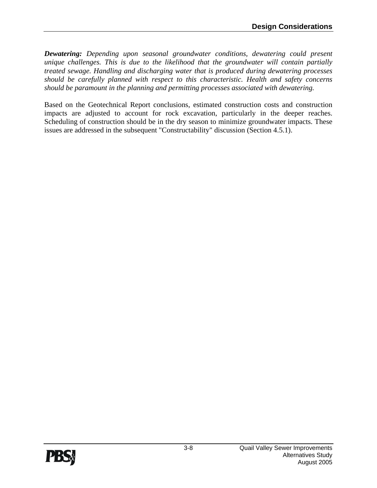*Dewatering: Depending upon seasonal groundwater conditions, dewatering could present unique challenges. This is due to the likelihood that the groundwater will contain partially treated sewage. Handling and discharging water that is produced during dewatering processes should be carefully planned with respect to this characteristic. Health and safety concerns should be paramount in the planning and permitting processes associated with dewatering.* 

Based on the Geotechnical Report conclusions, estimated construction costs and construction impacts are adjusted to account for rock excavation, particularly in the deeper reaches. Scheduling of construction should be in the dry season to minimize groundwater impacts. These issues are addressed in the subsequent "Constructability" discussion (Section 4.5.1).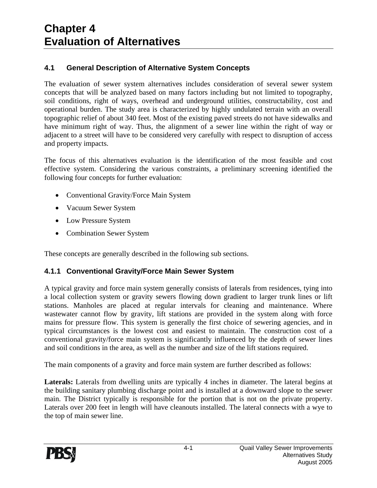#### **4.1 General Description of Alternative System Concepts**

The evaluation of sewer system alternatives includes consideration of several sewer system concepts that will be analyzed based on many factors including but not limited to topography, soil conditions, right of ways, overhead and underground utilities, constructability, cost and operational burden. The study area is characterized by highly undulated terrain with an overall topographic relief of about 340 feet. Most of the existing paved streets do not have sidewalks and have minimum right of way. Thus, the alignment of a sewer line within the right of way or adjacent to a street will have to be considered very carefully with respect to disruption of access and property impacts.

The focus of this alternatives evaluation is the identification of the most feasible and cost effective system. Considering the various constraints, a preliminary screening identified the following four concepts for further evaluation:

- Conventional Gravity/Force Main System
- Vacuum Sewer System
- Low Pressure System
- Combination Sewer System

These concepts are generally described in the following sub sections.

#### **4.1.1 Conventional Gravity/Force Main Sewer System**

A typical gravity and force main system generally consists of laterals from residences, tying into a local collection system or gravity sewers flowing down gradient to larger trunk lines or lift stations. Manholes are placed at regular intervals for cleaning and maintenance. Where wastewater cannot flow by gravity, lift stations are provided in the system along with force mains for pressure flow. This system is generally the first choice of sewering agencies, and in typical circumstances is the lowest cost and easiest to maintain. The construction cost of a conventional gravity/force main system is significantly influenced by the depth of sewer lines and soil conditions in the area, as well as the number and size of the lift stations required.

The main components of a gravity and force main system are further described as follows:

**Laterals:** Laterals from dwelling units are typically 4 inches in diameter. The lateral begins at the building sanitary plumbing discharge point and is installed at a downward slope to the sewer main. The District typically is responsible for the portion that is not on the private property. Laterals over 200 feet in length will have cleanouts installed. The lateral connects with a wye to the top of main sewer line.

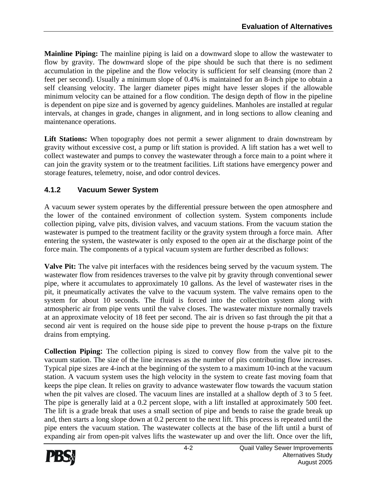**Mainline Piping:** The mainline piping is laid on a downward slope to allow the wastewater to flow by gravity. The downward slope of the pipe should be such that there is no sediment accumulation in the pipeline and the flow velocity is sufficient for self cleansing (more than 2 feet per second). Usually a minimum slope of 0.4% is maintained for an 8-inch pipe to obtain a self cleansing velocity. The larger diameter pipes might have lesser slopes if the allowable minimum velocity can be attained for a flow condition. The design depth of flow in the pipeline is dependent on pipe size and is governed by agency guidelines. Manholes are installed at regular intervals, at changes in grade, changes in alignment, and in long sections to allow cleaning and maintenance operations.

Lift Stations: When topography does not permit a sewer alignment to drain downstream by gravity without excessive cost, a pump or lift station is provided. A lift station has a wet well to collect wastewater and pumps to convey the wastewater through a force main to a point where it can join the gravity system or to the treatment facilities. Lift stations have emergency power and storage features, telemetry, noise, and odor control devices.

#### **4.1.2 Vacuum Sewer System**

A vacuum sewer system operates by the differential pressure between the open atmosphere and the lower of the contained environment of collection system. System components include collection piping, valve pits, division valves, and vacuum stations. From the vacuum station the wastewater is pumped to the treatment facility or the gravity system through a force main. After entering the system, the wastewater is only exposed to the open air at the discharge point of the force main. The components of a typical vacuum system are further described as follows:

**Valve Pit:** The valve pit interfaces with the residences being served by the vacuum system. The wastewater flow from residences traverses to the valve pit by gravity through conventional sewer pipe, where it accumulates to approximately 10 gallons. As the level of wastewater rises in the pit, it pneumatically activates the valve to the vacuum system. The valve remains open to the system for about 10 seconds. The fluid is forced into the collection system along with atmospheric air from pipe vents until the valve closes. The wastewater mixture normally travels at an approximate velocity of 18 feet per second. The air is driven so fast through the pit that a second air vent is required on the house side pipe to prevent the house p-traps on the fixture drains from emptying.

**Collection Piping:** The collection piping is sized to convey flow from the valve pit to the vacuum station. The size of the line increases as the number of pits contributing flow increases. Typical pipe sizes are 4-inch at the beginning of the system to a maximum 10-inch at the vacuum station. A vacuum system uses the high velocity in the system to create fast moving foam that keeps the pipe clean. It relies on gravity to advance wastewater flow towards the vacuum station when the pit valves are closed. The vacuum lines are installed at a shallow depth of 3 to 5 feet. The pipe is generally laid at a 0.2 percent slope, with a lift installed at approximately 500 feet. The lift is a grade break that uses a small section of pipe and bends to raise the grade break up and, then starts a long slope down at 0.2 percent to the next lift. This process is repeated until the pipe enters the vacuum station. The wastewater collects at the base of the lift until a burst of expanding air from open-pit valves lifts the wastewater up and over the lift. Once over the lift,

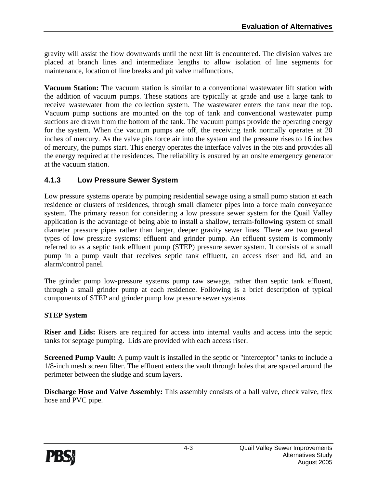gravity will assist the flow downwards until the next lift is encountered. The division valves are placed at branch lines and intermediate lengths to allow isolation of line segments for maintenance, location of line breaks and pit valve malfunctions.

**Vacuum Station:** The vacuum station is similar to a conventional wastewater lift station with the addition of vacuum pumps. These stations are typically at grade and use a large tank to receive wastewater from the collection system. The wastewater enters the tank near the top. Vacuum pump suctions are mounted on the top of tank and conventional wastewater pump suctions are drawn from the bottom of the tank. The vacuum pumps provide the operating energy for the system. When the vacuum pumps are off, the receiving tank normally operates at 20 inches of mercury. As the valve pits force air into the system and the pressure rises to 16 inches of mercury, the pumps start. This energy operates the interface valves in the pits and provides all the energy required at the residences. The reliability is ensured by an onsite emergency generator at the vacuum station.

#### **4.1.3 Low Pressure Sewer System**

Low pressure systems operate by pumping residential sewage using a small pump station at each residence or clusters of residences, through small diameter pipes into a force main conveyance system. The primary reason for considering a low pressure sewer system for the Quail Valley application is the advantage of being able to install a shallow, terrain-following system of small diameter pressure pipes rather than larger, deeper gravity sewer lines. There are two general types of low pressure systems: effluent and grinder pump. An effluent system is commonly referred to as a septic tank effluent pump (STEP) pressure sewer system. It consists of a small pump in a pump vault that receives septic tank effluent, an access riser and lid, and an alarm/control panel.

The grinder pump low-pressure systems pump raw sewage, rather than septic tank effluent, through a small grinder pump at each residence. Following is a brief description of typical components of STEP and grinder pump low pressure sewer systems.

#### **STEP System**

**Riser and Lids:** Risers are required for access into internal vaults and access into the septic tanks for septage pumping. Lids are provided with each access riser.

**Screened Pump Vault:** A pump vault is installed in the septic or "interceptor" tanks to include a 1/8-inch mesh screen filter. The effluent enters the vault through holes that are spaced around the perimeter between the sludge and scum layers.

**Discharge Hose and Valve Assembly:** This assembly consists of a ball valve, check valve, flex hose and PVC pipe.

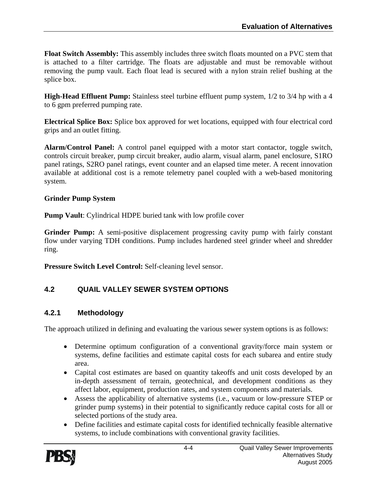**Float Switch Assembly:** This assembly includes three switch floats mounted on a PVC stem that is attached to a filter cartridge. The floats are adjustable and must be removable without removing the pump vault. Each float lead is secured with a nylon strain relief bushing at the splice box.

**High-Head Effluent Pump:** Stainless steel turbine effluent pump system,  $1/2$  to  $3/4$  hp with a 4 to 6 gpm preferred pumping rate.

**Electrical Splice Box:** Splice box approved for wet locations, equipped with four electrical cord grips and an outlet fitting.

**Alarm/Control Panel:** A control panel equipped with a motor start contactor, toggle switch, controls circuit breaker, pump circuit breaker, audio alarm, visual alarm, panel enclosure, S1RO panel ratings, S2RO panel ratings, event counter and an elapsed time meter. A recent innovation available at additional cost is a remote telemetry panel coupled with a web-based monitoring system.

#### **Grinder Pump System**

**Pump Vault**: Cylindrical HDPE buried tank with low profile cover

**Grinder Pump:** A semi-positive displacement progressing cavity pump with fairly constant flow under varying TDH conditions. Pump includes hardened steel grinder wheel and shredder ring.

**Pressure Switch Level Control:** Self-cleaning level sensor.

#### **4.2 QUAIL VALLEY SEWER SYSTEM OPTIONS**

#### **4.2.1 Methodology**

The approach utilized in defining and evaluating the various sewer system options is as follows:

- Determine optimum configuration of a conventional gravity/force main system or systems, define facilities and estimate capital costs for each subarea and entire study area.
- Capital cost estimates are based on quantity takeoffs and unit costs developed by an in-depth assessment of terrain, geotechnical, and development conditions as they affect labor, equipment, production rates, and system components and materials.
- Assess the applicability of alternative systems (i.e., vacuum or low-pressure STEP or grinder pump systems) in their potential to significantly reduce capital costs for all or selected portions of the study area.
- Define facilities and estimate capital costs for identified technically feasible alternative systems, to include combinations with conventional gravity facilities.

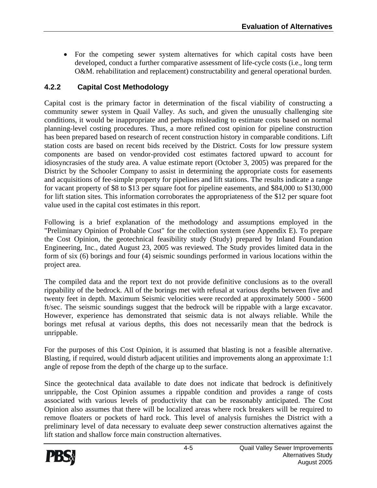• For the competing sewer system alternatives for which capital costs have been developed, conduct a further comparative assessment of life-cycle costs (i.e., long term O&M. rehabilitation and replacement) constructability and general operational burden.

#### **4.2.2 Capital Cost Methodology**

Capital cost is the primary factor in determination of the fiscal viability of constructing a community sewer system in Quail Valley. As such, and given the unusually challenging site conditions, it would be inappropriate and perhaps misleading to estimate costs based on normal planning-level costing procedures. Thus, a more refined cost opinion for pipeline construction has been prepared based on research of recent construction history in comparable conditions. Lift station costs are based on recent bids received by the District. Costs for low pressure system components are based on vendor-provided cost estimates factored upward to account for idiosyncrasies of the study area. A value estimate report (October 3, 2005) was prepared for the District by the Schooler Company to assist in determining the appropriate costs for easements and acquisitions of fee-simple property for pipelines and lift stations. The results indicate a range for vacant property of \$8 to \$13 per square foot for pipeline easements, and \$84,000 to \$130,000 for lift station sites. This information corroborates the appropriateness of the \$12 per square foot value used in the capital cost estimates in this report.

Following is a brief explanation of the methodology and assumptions employed in the "Preliminary Opinion of Probable Cost" for the collection system (see Appendix E). To prepare the Cost Opinion, the geotechnical feasibility study (Study) prepared by Inland Foundation Engineering, Inc., dated August 23, 2005 was reviewed. The Study provides limited data in the form of six (6) borings and four (4) seismic soundings performed in various locations within the project area.

The compiled data and the report text do not provide definitive conclusions as to the overall rippability of the bedrock. All of the borings met with refusal at various depths between five and twenty feet in depth. Maximum Seismic velocities were recorded at approximately 5000 - 5600 ft/sec. The seismic soundings suggest that the bedrock will be rippable with a large excavator. However, experience has demonstrated that seismic data is not always reliable. While the borings met refusal at various depths, this does not necessarily mean that the bedrock is unrippable.

For the purposes of this Cost Opinion, it is assumed that blasting is not a feasible alternative. Blasting, if required, would disturb adjacent utilities and improvements along an approximate 1:1 angle of repose from the depth of the charge up to the surface.

Since the geotechnical data available to date does not indicate that bedrock is definitively unrippable, the Cost Opinion assumes a rippable condition and provides a range of costs associated with various levels of productivity that can be reasonably anticipated. The Cost Opinion also assumes that there will be localized areas where rock breakers will be required to remove floaters or pockets of hard rock. This level of analysis furnishes the District with a preliminary level of data necessary to evaluate deep sewer construction alternatives against the lift station and shallow force main construction alternatives.

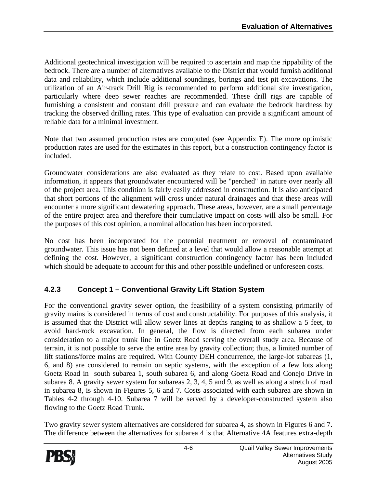Additional geotechnical investigation will be required to ascertain and map the rippability of the bedrock. There are a number of alternatives available to the District that would furnish additional data and reliability, which include additional soundings, borings and test pit excavations. The utilization of an Air-track Drill Rig is recommended to perform additional site investigation, particularly where deep sewer reaches are recommended. These drill rigs are capable of furnishing a consistent and constant drill pressure and can evaluate the bedrock hardness by tracking the observed drilling rates. This type of evaluation can provide a significant amount of reliable data for a minimal investment.

Note that two assumed production rates are computed (see Appendix E). The more optimistic production rates are used for the estimates in this report, but a construction contingency factor is included.

Groundwater considerations are also evaluated as they relate to cost. Based upon available information, it appears that groundwater encountered will be "perched" in nature over nearly all of the project area. This condition is fairly easily addressed in construction. It is also anticipated that short portions of the alignment will cross under natural drainages and that these areas will encounter a more significant dewatering approach. These areas, however, are a small percentage of the entire project area and therefore their cumulative impact on costs will also be small. For the purposes of this cost opinion, a nominal allocation has been incorporated.

No cost has been incorporated for the potential treatment or removal of contaminated groundwater. This issue has not been defined at a level that would allow a reasonable attempt at defining the cost. However, a significant construction contingency factor has been included which should be adequate to account for this and other possible undefined or unforeseen costs.

#### **4.2.3 Concept 1 – Conventional Gravity Lift Station System**

For the conventional gravity sewer option, the feasibility of a system consisting primarily of gravity mains is considered in terms of cost and constructability. For purposes of this analysis, it is assumed that the District will allow sewer lines at depths ranging to as shallow a 5 feet, to avoid hard-rock excavation. In general, the flow is directed from each subarea under consideration to a major trunk line in Goetz Road serving the overall study area. Because of terrain, it is not possible to serve the entire area by gravity collection; thus, a limited number of lift stations/force mains are required. With County DEH concurrence, the large-lot subareas (1, 6, and 8) are considered to remain on septic systems, with the exception of a few lots along Goetz Road in south subarea 1, south subarea 6, and along Goetz Road and Conejo Drive in subarea 8. A gravity sewer system for subareas 2, 3, 4, 5 and 9, as well as along a stretch of road in subarea 8, is shown in Figures 5, 6 and 7. Costs associated with each subarea are shown in Tables 4-2 through 4-10. Subarea 7 will be served by a developer-constructed system also flowing to the Goetz Road Trunk.

Two gravity sewer system alternatives are considered for subarea 4, as shown in Figures 6 and 7. The difference between the alternatives for subarea 4 is that Alternative 4A features extra-depth

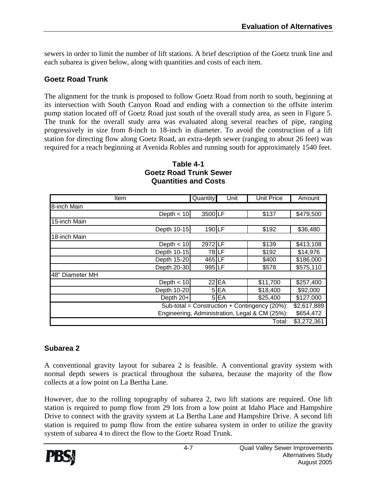sewers in order to limit the number of lift stations. A brief description of the Goetz trunk line and each subarea is given below, along with quantities and costs of each item.

#### **Goetz Road Trunk**

The alignment for the trunk is proposed to follow Goetz Road from north to south, beginning at its intersection with South Canyon Road and ending with a connection to the offsite interim pump station located off of Goetz Road just south of the overall study area, as seen in Figure 5. The trunk for the overall study area was evaluated along several reaches of pipe, ranging progressively in size from 8-inch to 18-inch in diameter. To avoid the construction of a lift station for directing flow along Goetz Road, an extra-depth sewer (ranging to about 26 feet) was required for a reach beginning at Avenida Robles and running south for approximately 1540 feet.

| ltem            |              | <b>Quantity</b> | Unit    | <b>Unit Price</b>                                 | Amount      |
|-----------------|--------------|-----------------|---------|---------------------------------------------------|-------------|
| 8-inch Main     |              |                 |         |                                                   |             |
|                 | Depth $< 10$ | 3500LF          |         | \$137                                             | \$479,500   |
| 15-inch Main    |              |                 |         |                                                   |             |
|                 | Depth 10-15  | 190LF           |         | \$192                                             | \$36,480    |
| 18-inch Main    |              |                 |         |                                                   |             |
|                 | Depth $<$ 10 | 2972LF          |         | \$139                                             | \$413,108   |
|                 | Depth 10-15  |                 | 78LF    | \$192                                             | \$14,976    |
|                 | Depth 15-20  | 465 LF          |         | \$400                                             | \$186,000   |
|                 | Depth 20-30  | 995 LF          |         | \$578                                             | \$575,110   |
| 48" Diameter MH |              |                 |         |                                                   |             |
|                 | Depth $<$ 10 |                 | $22$ EA | \$11,700                                          | \$257,400   |
|                 | Depth 10-20  |                 | $5E$ A  | \$18,400                                          | \$92,000    |
|                 | Depth $20+$  |                 | $5E$ A  | \$25,400                                          | \$127,000   |
|                 |              |                 |         | Sub-total = Construction + Contingency $(20\%)$ : | \$2,617,889 |
|                 |              |                 |         | Engineering, Administration, Legal & CM (25%):    | \$654,472   |
|                 |              |                 |         | Total:                                            | \$3,272,361 |

#### **Table 4-1 Goetz Road Trunk Sewer Quantities and Costs**

#### **Subarea 2**

A conventional gravity layout for subarea 2 is feasible. A conventional gravity system with normal depth sewers is practical throughout the subarea, because the majority of the flow collects at a low point on La Bertha Lane.

However, due to the rolling topography of subarea 2, two lift stations are required. One lift station is required to pump flow from 29 lots from a low point at Idaho Place and Hampshire Drive to connect with the gravity system at La Bertha Lane and Hampshire Drive. A second lift station is required to pump flow from the entire subarea system in order to utilize the gravity system of subarea 4 to direct the flow to the Goetz Road Trunk.

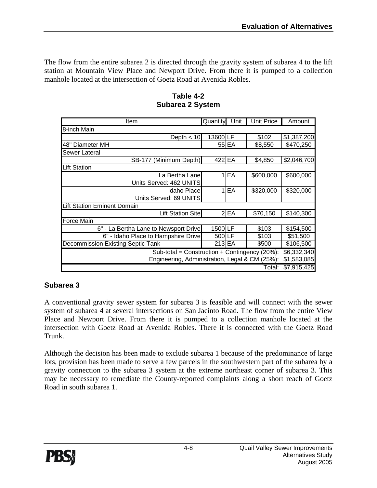The flow from the entire subarea 2 is directed through the gravity system of subarea 4 to the lift station at Mountain View Place and Newport Drive. From there it is pumped to a collection manhole located at the intersection of Goetz Road at Avenida Robles.

| Item                                           | Quantity | Unit            | <b>Unit Price</b> | Amount      |  |  |  |  |
|------------------------------------------------|----------|-----------------|-------------------|-------------|--|--|--|--|
| 8-inch Main                                    |          |                 |                   |             |  |  |  |  |
| Depth $<$ 10                                   | 13600 LF |                 | \$102             | \$1,387,200 |  |  |  |  |
| 48" Diameter MH                                |          | 55 EA           | \$8,550           | \$470,250   |  |  |  |  |
| Sewer Lateral                                  |          |                 |                   |             |  |  |  |  |
| SB-177 (Minimum Depth)                         | 422 EA   |                 | \$4,850           | \$2,046,700 |  |  |  |  |
| <b>Lift Station</b>                            |          |                 |                   |             |  |  |  |  |
| La Bertha Lane                                 |          | $1$ EA          | \$600,000         | \$600,000   |  |  |  |  |
| Units Served: 462 UNITS                        |          |                 |                   |             |  |  |  |  |
| Idaho Place                                    |          | 1 <sub>EA</sub> | \$320,000         | \$320,000   |  |  |  |  |
| Units Served: 69 UNITS                         |          |                 |                   |             |  |  |  |  |
| <b>Lift Station Eminent Domain</b>             |          |                 |                   |             |  |  |  |  |
| <b>Lift Station Site</b>                       |          | $2$ $EA$        | \$70,150          | \$140,300   |  |  |  |  |
| <b>Force Main</b>                              |          |                 |                   |             |  |  |  |  |
| 6" - La Bertha Lane to Newsport Drive          | 1500 LF  |                 | \$103             | \$154,500   |  |  |  |  |
| 6" - Idaho Place to Hampshire Drive            | 500 LF   |                 | \$103             | \$51,500    |  |  |  |  |
| Decommission Existing Septic Tank              | 213 EA   |                 | \$500             | \$106,500   |  |  |  |  |
| Sub-total = Construction + Contingency (20%):  |          |                 |                   |             |  |  |  |  |
| Engineering, Administration, Legal & CM (25%): |          |                 |                   | \$1,583,085 |  |  |  |  |
|                                                |          |                 | Total:            | \$7,915,425 |  |  |  |  |

#### **Table 4-2 Subarea 2 System**

#### **Subarea 3**

A conventional gravity sewer system for subarea 3 is feasible and will connect with the sewer system of subarea 4 at several intersections on San Jacinto Road. The flow from the entire View Place and Newport Drive. From there it is pumped to a collection manhole located at the intersection with Goetz Road at Avenida Robles. There it is connected with the Goetz Road Trunk.

Although the decision has been made to exclude subarea 1 because of the predominance of large lots, provision has been made to serve a few parcels in the southwestern part of the subarea by a gravity connection to the subarea 3 system at the extreme northeast corner of subarea 3. This may be necessary to remediate the County-reported complaints along a short reach of Goetz Road in south subarea 1.

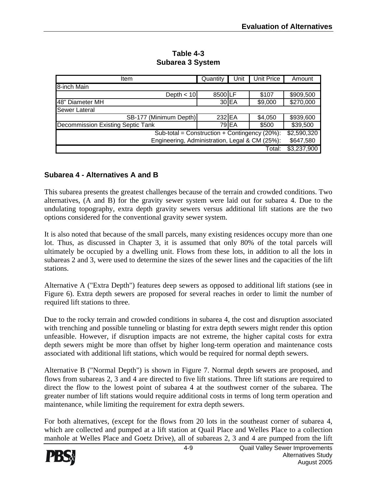| Item                                              | Quantity | Unit    | Unit Price | Amount      |  |
|---------------------------------------------------|----------|---------|------------|-------------|--|
| 8-inch Main                                       |          |         |            |             |  |
| Depth $<$ 10                                      | 8500LF   |         | \$107      | \$909,500   |  |
| 48" Diameter MH                                   |          | $30$ EA | \$9,000    | \$270,000   |  |
| <b>Sewer Lateral</b>                              |          |         |            |             |  |
| SB-177 (Minimum Depth)                            | 232 EA   |         | \$4,050    | \$939,600   |  |
| <b>Decommission Existing Septic Tank</b>          |          | 79 EA   | \$500      | \$39,500    |  |
| Sub-total = Construction + Contingency $(20\%)$ : |          |         |            |             |  |
| Engineering, Administration, Legal & CM (25%):    |          |         |            | \$647,580   |  |
|                                                   |          |         | Total:     | \$3,237,900 |  |

**Table 4-3 Subarea 3 System** 

#### **Subarea 4 - Alternatives A and B**

This subarea presents the greatest challenges because of the terrain and crowded conditions. Two alternatives, (A and B) for the gravity sewer system were laid out for subarea 4. Due to the undulating topography, extra depth gravity sewers versus additional lift stations are the two options considered for the conventional gravity sewer system.

It is also noted that because of the small parcels, many existing residences occupy more than one lot. Thus, as discussed in Chapter 3, it is assumed that only 80% of the total parcels will ultimately be occupied by a dwelling unit. Flows from these lots, in addition to all the lots in subareas 2 and 3, were used to determine the sizes of the sewer lines and the capacities of the lift stations.

Alternative A ("Extra Depth") features deep sewers as opposed to additional lift stations (see in Figure 6). Extra depth sewers are proposed for several reaches in order to limit the number of required lift stations to three.

Due to the rocky terrain and crowded conditions in subarea 4, the cost and disruption associated with trenching and possible tunneling or blasting for extra depth sewers might render this option unfeasible. However, if disruption impacts are not extreme, the higher capital costs for extra depth sewers might be more than offset by higher long-term operation and maintenance costs associated with additional lift stations, which would be required for normal depth sewers.

Alternative B ("Normal Depth") is shown in Figure 7. Normal depth sewers are proposed, and flows from subareas 2, 3 and 4 are directed to five lift stations. Three lift stations are required to direct the flow to the lowest point of subarea 4 at the southwest corner of the subarea. The greater number of lift stations would require additional costs in terms of long term operation and maintenance, while limiting the requirement for extra depth sewers.

For both alternatives, (except for the flows from 20 lots in the southeast corner of subarea 4, which are collected and pumped at a lift station at Quail Place and Welles Place to a collection manhole at Welles Place and Goetz Drive), all of subareas 2, 3 and 4 are pumped from the lift

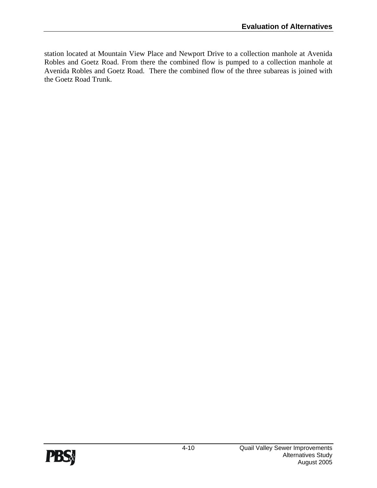station located at Mountain View Place and Newport Drive to a collection manhole at Avenida Robles and Goetz Road. From there the combined flow is pumped to a collection manhole at Avenida Robles and Goetz Road. There the combined flow of the three subareas is joined with the Goetz Road Trunk.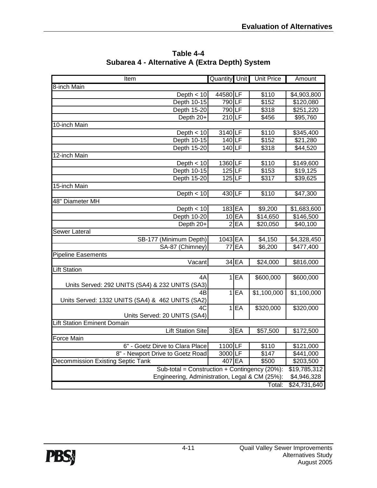| Item                                             | <b>Quantity</b> Unit |         | <b>Unit Price</b>    | Amount       |
|--------------------------------------------------|----------------------|---------|----------------------|--------------|
| 8-inch Main                                      |                      |         |                      |              |
| Depth $<$ 10                                     | 44580LF              |         | \$110                | \$4,903,800  |
| Depth 10-15                                      | 790LF                |         | \$152                | \$120,080    |
| Depth 15-20                                      | 790LF                |         | \$318                | \$251,220    |
| Depth 20+                                        | $210$ LF             |         | \$456                | \$95,760     |
| 10-inch Main                                     |                      |         |                      |              |
| Depth $<$ 10                                     | 3140LF               |         | \$110                | \$345,400    |
| Depth 10-15                                      | 140LF                |         | \$152                | \$21,280     |
| Depth 15-20                                      | 140LF                |         | \$318                | \$44,520     |
| 12-inch Main                                     |                      |         |                      |              |
| Depth $<$ 10                                     | 1360 LF              |         | \$110                | \$149,600    |
| Depth 10-15                                      | $125$ LF             |         | \$153                | \$19,125     |
| Depth 15-20                                      | $125$ LF             |         | \$317                | \$39,625     |
| 15-inch Main                                     |                      |         |                      |              |
| Depth $< 10$                                     | 430LF                |         | \$110                | \$47,300     |
| 48" Diameter MH                                  |                      |         |                      |              |
| Depth $<$ 10                                     | 183 EA               |         | \$9,200              | \$1,683,600  |
| Depth 10-20                                      |                      | $10$ EA | \$14,650             | \$146,500    |
| Depth 20+                                        |                      | 2 EA    | \$20,050             | \$40,100     |
| Sewer Lateral                                    |                      |         |                      |              |
| SB-177 (Minimum Depth)                           | 1043 EA              |         | \$4,150              | \$4,328,450  |
| SA-87 (Chimney)                                  | 77                   | EA      | \$6,200              | \$477,400    |
| <b>Pipeline Easements</b>                        |                      |         |                      |              |
| $\overline{Vac}$ ant                             |                      | $34$ EA | \$24,000             | \$816,000    |
| <b>Lift Station</b>                              |                      |         |                      |              |
| 4A                                               |                      | 1 EA    | \$600,000            | \$600,000    |
| Units Served: 292 UNITS (SA4) & 232 UNITS (SA3)  |                      |         |                      |              |
| $\overline{AB}$                                  |                      | 1EE     | \$1,100,000          | \$1,100,000  |
| Units Served: 1332 UNITS (SA4) & 462 UNITS (SA2) |                      |         |                      |              |
| 4C                                               | 1                    | EA      | \$320,000            | \$320,000    |
| Units Served: 20 UNITS (SA4)                     |                      |         |                      |              |
| <b>Lift Station Eminent Domain</b>               |                      |         |                      |              |
| <b>Lift Station Site</b>                         |                      | 3EA     | $\overline{$57,500}$ | \$172,500    |
| <b>Force Main</b>                                |                      |         |                      |              |
| 6" - Goetz Dirve to Clara Place                  | 1100 LF              |         | \$110                | \$121,000    |
| 8" - Newport Drive to Goetz Road                 | 3000 LF              |         | \$147                | \$441,000    |
| <b>Decommission Existing Septic Tank</b>         | 407 EA               |         | \$500                | \$203,500    |
| Sub-total = Construction + Contingency (20%):    |                      |         |                      | \$19,785,312 |
| Engineering, Administration, Legal & CM (25%):   |                      |         |                      | \$4,946,328  |
|                                                  |                      |         | Total:               | \$24,731,640 |

**Table 4-4 Subarea 4 - Alternative A (Extra Depth) System**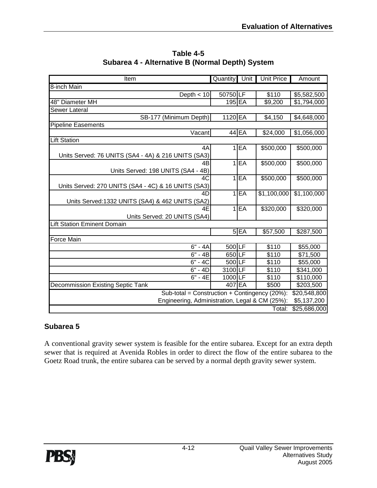| <b>Item</b>                                         | Quantity Unit |          | <b>Unit Price</b> | Amount       |  |  |
|-----------------------------------------------------|---------------|----------|-------------------|--------------|--|--|
| 8-inch Main                                         |               |          |                   |              |  |  |
| Depth $<$ 10                                        | 50750LF       |          | \$110             | \$5,582,500  |  |  |
| 48" Diameter MH                                     | $195$ EA      |          | \$9,200           | \$1,794,000  |  |  |
| Sewer Lateral                                       |               |          |                   |              |  |  |
| SB-177 (Minimum Depth)                              | 1120 EA       |          | \$4,150           | \$4,648,000  |  |  |
| <b>Pipeline Easements</b>                           |               |          |                   |              |  |  |
| Vacant                                              |               | 44 EA    | \$24,000          | \$1,056,000  |  |  |
| <b>Lift Station</b>                                 |               |          |                   |              |  |  |
| 4A                                                  | 1             | EA       | \$500,000         | \$500,000    |  |  |
| Units Served: 76 UNITS (SA4 - 4A) & 216 UNITS (SA3) |               |          |                   |              |  |  |
| 4B                                                  | $\mathbf{1}$  | EA       | \$500,000         | \$500,000    |  |  |
| Units Served: 198 UNITS (SA4 - 4B)                  |               |          |                   |              |  |  |
| 4C                                                  | 1             | EA       | \$500,000         | \$500,000    |  |  |
| Units Served: 270 UNITS (SA4 - 4C) & 16 UNITS (SA3) |               |          |                   |              |  |  |
| 4D                                                  | 1             | EA       | \$1,100,000       | \$1,100,000  |  |  |
| Units Served: 1332 UNITS (SA4) & 462 UNITS (SA2)    |               |          |                   |              |  |  |
| 4E                                                  | $\mathbf{1}$  | EA       | \$320,000         | \$320,000    |  |  |
| Units Served: 20 UNITS (SA4)                        |               |          |                   |              |  |  |
| <b>Lift Station Eminent Domain</b>                  |               |          |                   |              |  |  |
|                                                     |               | $5$ $EA$ | \$57,500          | \$287,500    |  |  |
| <b>Force Main</b>                                   |               |          |                   |              |  |  |
| $6" - 4A$                                           | $500$ LF      |          | \$110             | \$55,000     |  |  |
| $\overline{6}$ " - 4B                               | 650LF         |          | \$110             | \$71,500     |  |  |
| $6 - 4C$                                            | $500$ LF      |          | \$110             | \$55,000     |  |  |
| $6" - 4D$                                           | 3100 LF       |          | \$110             | \$341,000    |  |  |
| $6" - 4E$                                           | 1000LF        |          | \$110             | \$110,000    |  |  |
| <b>Decommission Existing Septic Tank</b>            | 407 EA        |          | \$500             | \$203,500    |  |  |
| Sub-total = Construction + Contingency (20%):       |               |          |                   |              |  |  |
| Engineering, Administration, Legal & CM (25%):      |               |          |                   | \$5,137,200  |  |  |
|                                                     |               |          | Total:            | \$25,686,000 |  |  |

**Table 4-5 Subarea 4 - Alternative B (Normal Depth) System** 

#### **Subarea 5**

A conventional gravity sewer system is feasible for the entire subarea. Except for an extra depth sewer that is required at Avenida Robles in order to direct the flow of the entire subarea to the Goetz Road trunk, the entire subarea can be served by a normal depth gravity sewer system.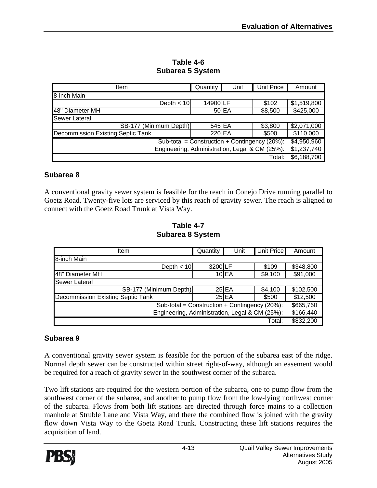| Item                                                          | Quantity | Unit    | <b>Unit Price</b> | Amount      |  |
|---------------------------------------------------------------|----------|---------|-------------------|-------------|--|
| 8-inch Main                                                   |          |         |                   |             |  |
| Depth $<$ 10                                                  | 14900 LF |         | \$102             | \$1,519,800 |  |
| 48" Diameter MH                                               |          | $50$ EA | \$8,500           | \$425,000   |  |
| Sewer Lateral                                                 |          |         |                   |             |  |
| SB-177 (Minimum Depth)                                        | 545 EA   |         | \$3,800           | \$2,071,000 |  |
| Decommission Existing Septic Tank                             | 220 EA   |         | \$500             | \$110,000   |  |
| Sub-total = Construction + Contingency (20%):                 |          |         |                   |             |  |
| Engineering, Administration, Legal & CM (25%):<br>\$1,237,740 |          |         |                   |             |  |
|                                                               |          |         | Total:            | \$6,188,700 |  |

**Table 4-6 Subarea 5 System** 

#### **Subarea 8**

A conventional gravity sewer system is feasible for the reach in Conejo Drive running parallel to Goetz Road. Twenty-five lots are serviced by this reach of gravity sewer. The reach is aligned to connect with the Goetz Road Trunk at Vista Way.

**Table 4-7 Subarea 8 System** 

| Item                                              | Quantity | Unit       | <b>Unit Price</b> | Amount    |
|---------------------------------------------------|----------|------------|-------------------|-----------|
| 8-inch Main                                       |          |            |                   |           |
| Depth $<$ 10                                      | 3200LF   |            | \$109             | \$348,800 |
| 48" Diameter MH                                   |          | $10$ $E$ A | \$9,100           | \$91,000  |
| <b>Sewer Lateral</b>                              |          |            |                   |           |
| SB-177 (Minimum Depth)                            |          | $25$ $EA$  | \$4,100           | \$102,500 |
| Decommission Existing Septic Tank                 |          | $25$ EA    | \$500             | \$12,500  |
| Sub-total = Construction + Contingency $(20\%)$ : |          |            |                   |           |
| Engineering, Administration, Legal & CM (25%):    |          |            |                   | \$166,440 |
|                                                   |          |            | Total:            | \$832,200 |

#### **Subarea 9**

A conventional gravity sewer system is feasible for the portion of the subarea east of the ridge. Normal depth sewer can be constructed within street right-of-way, although an easement would be required for a reach of gravity sewer in the southwest corner of the subarea.

Two lift stations are required for the western portion of the subarea, one to pump flow from the southwest corner of the subarea, and another to pump flow from the low-lying northwest corner of the subarea. Flows from both lift stations are directed through force mains to a collection manhole at Struble Lane and Vista Way, and there the combined flow is joined with the gravity flow down Vista Way to the Goetz Road Trunk. Constructing these lift stations requires the acquisition of land.

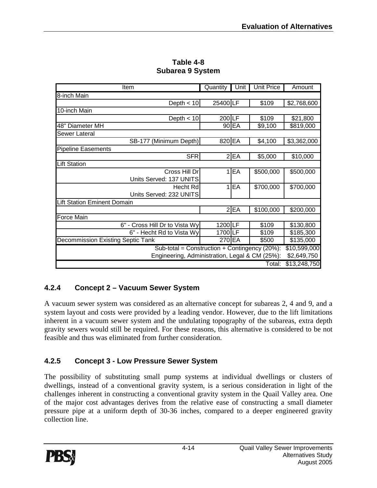| Item                                           | Quantity | Unit     | <b>Unit Price</b> | Amount       |
|------------------------------------------------|----------|----------|-------------------|--------------|
| 8-inch Main                                    |          |          |                   |              |
| Depth $<$ 10                                   | 25400 LF |          | \$109             | \$2,768,600  |
| 10-inch Main                                   |          |          |                   |              |
| Depth $<$ 10                                   | 200LF    |          | \$109             | \$21,800     |
| 48" Diameter MH                                |          | 90 EA    | \$9,100           | \$819,000    |
| Sewer Lateral                                  |          |          |                   |              |
| SB-177 (Minimum Depth)                         | 820 EA   |          | \$4,100           | \$3,362,000  |
| <b>Pipeline Easements</b>                      |          |          |                   |              |
| <b>SFR</b>                                     |          | 2 EA     | \$5,000           | \$10,000     |
| <b>Lift Station</b>                            |          |          |                   |              |
| Cross Hill Dr                                  |          | $1$ $EA$ | \$500,000         | \$500,000    |
| Units Served: 137 UNITS                        |          |          |                   |              |
| Hecht Rd                                       |          | $1$ $EA$ | \$700,000         | \$700,000    |
| Units Served: 232 UNITS                        |          |          |                   |              |
| <b>Lift Station Eminent Domain</b>             |          |          |                   |              |
|                                                |          | $2$ $FA$ | \$100,000         | \$200,000    |
| Force Main                                     |          |          |                   |              |
| 6" - Cross Hill Dr to Vista Wy                 | 1200 LF  |          | \$109             | \$130,800    |
| 6" - Hecht Rd to Vista Wy                      | 1700 LF  |          | \$109             | \$185,300    |
| <b>Decommission Existing Septic Tank</b>       | 270 EA   |          | \$500             | \$135,000    |
| Sub-total = Construction + Contingency (20%):  |          |          |                   |              |
| Engineering, Administration, Legal & CM (25%): |          |          |                   | \$2,649,750  |
|                                                |          |          | Total:            | \$13,248,750 |

**Table 4-8 Subarea 9 System** 

#### **4.2.4 Concept 2 – Vacuum Sewer System**

A vacuum sewer system was considered as an alternative concept for subareas 2, 4 and 9, and a system layout and costs were provided by a leading vendor. However, due to the lift limitations inherent in a vacuum sewer system and the undulating topography of the subareas, extra depth gravity sewers would still be required. For these reasons, this alternative is considered to be not feasible and thus was eliminated from further consideration.

#### **4.2.5 Concept 3 - Low Pressure Sewer System**

The possibility of substituting small pump systems at individual dwellings or clusters of dwellings, instead of a conventional gravity system, is a serious consideration in light of the challenges inherent in constructing a conventional gravity system in the Quail Valley area. One of the major cost advantages derives from the relative ease of constructing a small diameter pressure pipe at a uniform depth of 30-36 inches, compared to a deeper engineered gravity collection line.

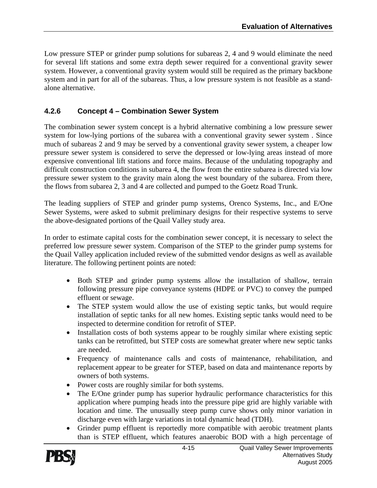Low pressure STEP or grinder pump solutions for subareas 2, 4 and 9 would eliminate the need for several lift stations and some extra depth sewer required for a conventional gravity sewer system. However, a conventional gravity system would still be required as the primary backbone system and in part for all of the subareas. Thus, a low pressure system is not feasible as a standalone alternative.

#### **4.2.6 Concept 4 – Combination Sewer System**

The combination sewer system concept is a hybrid alternative combining a low pressure sewer system for low-lying portions of the subarea with a conventional gravity sewer system . Since much of subareas 2 and 9 may be served by a conventional gravity sewer system, a cheaper low pressure sewer system is considered to serve the depressed or low-lying areas instead of more expensive conventional lift stations and force mains. Because of the undulating topography and difficult construction conditions in subarea 4, the flow from the entire subarea is directed via low pressure sewer system to the gravity main along the west boundary of the subarea. From there, the flows from subarea 2, 3 and 4 are collected and pumped to the Goetz Road Trunk.

The leading suppliers of STEP and grinder pump systems, Orenco Systems, Inc., and E/One Sewer Systems, were asked to submit preliminary designs for their respective systems to serve the above-designated portions of the Quail Valley study area.

In order to estimate capital costs for the combination sewer concept, it is necessary to select the preferred low pressure sewer system. Comparison of the STEP to the grinder pump systems for the Quail Valley application included review of the submitted vendor designs as well as available literature. The following pertinent points are noted:

- Both STEP and grinder pump systems allow the installation of shallow, terrain following pressure pipe conveyance systems (HDPE or PVC) to convey the pumped effluent or sewage.
- The STEP system would allow the use of existing septic tanks, but would require installation of septic tanks for all new homes. Existing septic tanks would need to be inspected to determine condition for retrofit of STEP.
- Installation costs of both systems appear to be roughly similar where existing septic tanks can be retrofitted, but STEP costs are somewhat greater where new septic tanks are needed.
- Frequency of maintenance calls and costs of maintenance, rehabilitation, and replacement appear to be greater for STEP, based on data and maintenance reports by owners of both systems.
- Power costs are roughly similar for both systems.
- The E/One grinder pump has superior hydraulic performance characteristics for this application where pumping heads into the pressure pipe grid are highly variable with location and time. The unusually steep pump curve shows only minor variation in discharge even with large variations in total dynamic head (TDH).
- Grinder pump effluent is reportedly more compatible with aerobic treatment plants than is STEP effluent, which features anaerobic BOD with a high percentage of

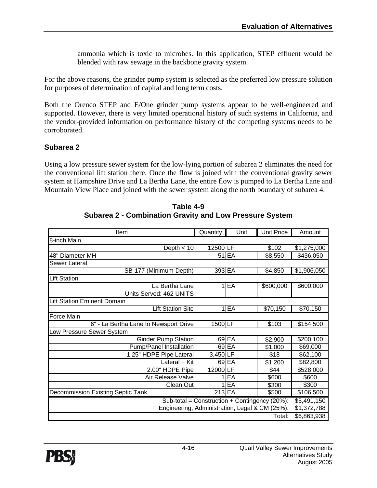ammonia which is toxic to microbes. In this application, STEP effluent would be blended with raw sewage in the backbone gravity system.

For the above reasons, the grinder pump system is selected as the preferred low pressure solution for purposes of determination of capital and long term costs.

Both the Orenco STEP and E/One grinder pump systems appear to be well-engineered and supported. However, there is very limited operational history of such systems in California, and the vendor-provided information on performance history of the competing systems needs to be corroborated.

#### **Subarea 2**

Using a low pressure sewer system for the low-lying portion of subarea 2 eliminates the need for the conventional lift station there. Once the flow is joined with the conventional gravity sewer system at Hampshire Drive and La Bertha Lane, the entire flow is pumped to La Bertha Lane and Mountain View Place and joined with the sewer system along the north boundary of subarea 4.

| Item                                          | Quantity                                                      | Unit      | <b>Unit Price</b> | Amount      |  |
|-----------------------------------------------|---------------------------------------------------------------|-----------|-------------------|-------------|--|
| 8-inch Main                                   |                                                               |           |                   |             |  |
| Depth $<$ 10                                  | 12500 LF                                                      |           | \$102             | \$1,275,000 |  |
| 48" Diameter MH                               |                                                               | $51$ $EA$ | \$8,550           | \$436,050   |  |
| Sewer Lateral                                 |                                                               |           |                   |             |  |
| SB-177 (Minimum Depth)                        | 393 EA                                                        |           | \$4,850           | \$1,906,050 |  |
| <b>Lift Station</b>                           |                                                               |           |                   |             |  |
| La Bertha Lane                                |                                                               | $1$ $E$ A | \$600,000         | \$600,000   |  |
| Units Served: 462 UNITS                       |                                                               |           |                   |             |  |
| <b>Lift Station Eminent Domain</b>            |                                                               |           |                   |             |  |
| <b>Lift Station Site</b>                      |                                                               | $1$ $EA$  | \$70,150          | \$70,150    |  |
| Force Main                                    |                                                               |           |                   |             |  |
| 6" - La Bertha Lane to Newsport Drive         | 1500 LF                                                       |           | \$103             | \$154,500   |  |
| ow Pressure Sewer System                      |                                                               |           |                   |             |  |
| <b>Ginder Pump Station</b>                    |                                                               | $69$ $EA$ | \$2,900           | \$200,100   |  |
| Pump/Panel Installation                       |                                                               | 69 EA     | \$1,000           | \$69,000    |  |
| 1.25" HDPE Pipe Lateral                       | 3,450 LF                                                      |           | \$18              | \$62,100    |  |
| Lateral + Kit                                 |                                                               | 69 EA     | \$1,200           | \$82,800    |  |
| 2.00" HDPE Pipe                               | 12000LF                                                       |           | \$44              | \$528,000   |  |
| Air Release Valve                             |                                                               | EA        | \$600             | \$600       |  |
| Clean Out                                     | 1                                                             | EA        | \$300             | \$300       |  |
| <b>Decommission Existing Septic Tank</b>      | 213 EA                                                        |           | \$500             | \$106,500   |  |
| Sub-total = Construction + Contingency (20%): |                                                               |           |                   |             |  |
|                                               | Engineering, Administration, Legal & CM (25%):<br>\$1,372,788 |           |                   |             |  |
|                                               |                                                               |           | Total:            | \$6,863,938 |  |

**Table 4-9 Subarea 2 - Combination Gravity and Low Pressure System** 

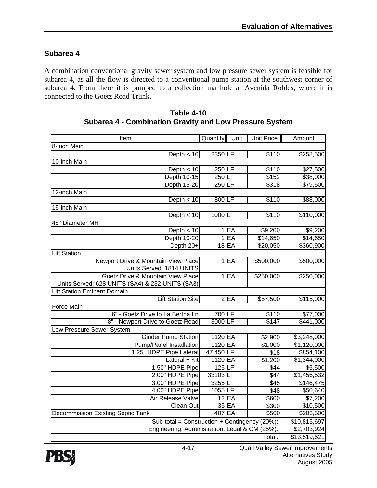#### **Subarea 4**

A combination conventional gravity sewer system and low pressure sewer system is feasible for subarea 4, as all the flow is directed to a conventional pump station at the southwest corner of subarea 4. From there it is pumped to a collection manhole at Avenida Robles, where it is connected to the Goetz Road Trunk.

| Item                                                              | Quantity  | Unit      | <b>Unit Price</b> | Amount       |
|-------------------------------------------------------------------|-----------|-----------|-------------------|--------------|
| 8-inch Main                                                       |           |           |                   |              |
| Depth $<$ 10                                                      | 2350 LF   |           | \$110             | \$258,500    |
| 10-inch Main                                                      |           |           |                   |              |
| Depth $<$ 10                                                      | 250LF     |           | \$110             | \$27,500     |
| Depth 10-15                                                       | 250LF     |           | \$152             | \$38,000     |
| Depth 15-20                                                       | $250$ LF  |           | \$318             | \$79,500     |
| 12-inch Main                                                      |           |           |                   |              |
| Depth $<$ 10                                                      | 800 LF    |           | \$110             | \$88,000     |
| 15-inch Main                                                      |           |           |                   |              |
| Depth $< 10$                                                      | 1000 LF   |           | \$110             | \$110,000    |
| 48" Diameter MH                                                   |           |           |                   |              |
| Depth $<$ 10                                                      |           | 1 EA      | \$9,200           | \$9,200      |
| Depth 10-20                                                       |           | 1 EA      | \$14,650          | \$14,650     |
| Depth 20+                                                         |           | $18$ $EA$ | \$20,050          | \$360,900    |
| <b>Lift Station</b>                                               |           |           |                   |              |
| Newport Drive & Mountain View Place                               |           | $1$ EA    | \$500,000         | \$500,000    |
| Units Served: 1814 UNITS                                          |           |           |                   |              |
| Goetz Drive & Mountain View Place                                 |           | $1$ EA    | \$250,000         | \$250,000    |
| Units Served: 628 UNITS (SA4) & 232 UNITS (SA3)                   |           |           |                   |              |
| <b>Lift Station Eminent Domain</b>                                |           |           |                   |              |
| <b>Lift Station Site</b>                                          |           | 2 EA      | \$57,500          | \$115,000    |
| <b>Force Main</b>                                                 |           |           |                   |              |
| 6" - Goetz Drive to La Bertha Ln                                  | 700 LF    |           | \$110             | \$77,000     |
| 8" - Newport Drive to Goetz Road                                  | 3000 LF   |           | \$147             | \$441,000    |
| Low Pressure Sewer System                                         |           |           |                   |              |
| <b>Ginder Pump Station</b>                                        | 1120 EA   |           | \$2,900           | \$3,248,000  |
| Pump/Panel Installation                                           | 1120 EA   |           | \$1,000           | \$1,120,000  |
| 1.25" HDPE Pipe Lateral                                           | 47,450 LF |           | \$18              | \$854,100    |
| Lateral + Kit                                                     | 1120 EA   |           | \$1,200           | \$1,344,000  |
| 1.50" HDPE Pipe                                                   | 125LE     |           | \$44              | \$5,500      |
| 2.00" HDPE Pipe                                                   | 33103 LF  |           | \$44              | \$1,456,532  |
| 3.00" HDPE Pipe                                                   | 3255 LF   |           | $\overline{$45}$  | \$146,475    |
| 4.00" HDPE Pipe                                                   | 1055 LF   |           | \$48              | \$50,640     |
| Air Release Valve                                                 |           | $12$ $EA$ | \$600             | \$7,200      |
| Clean Out                                                         |           | 35 EA     | \$300             | \$10,500     |
| <b>Decommission Existing Septic Tank</b>                          | 407 EA    |           | \$500             | \$203,500    |
| Sub-total = $\overline{\text{Construction}}$ + Contingency (20%): |           |           |                   | \$10,815,697 |
| Engineering, Administration, Legal & CM (25%):                    |           |           |                   | \$2,703,924  |
|                                                                   |           |           | Total:            | \$13,519,621 |

#### **Table 4-10 Subarea 4 - Combination Gravity and Low Pressure System**

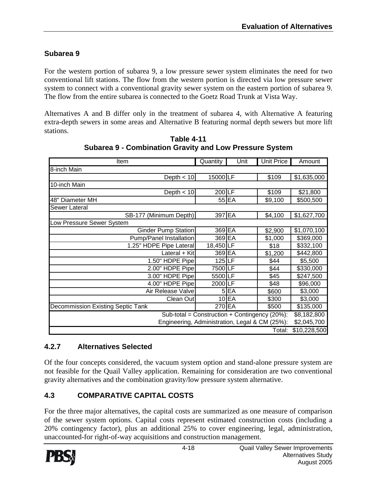#### **Subarea 9**

For the western portion of subarea 9, a low pressure sewer system eliminates the need for two conventional lift stations. The flow from the western portion is directed via low pressure sewer system to connect with a conventional gravity sewer system on the eastern portion of subarea 9. The flow from the entire subarea is connected to the Goetz Road Trunk at Vista Way.

Alternatives A and B differ only in the treatment of subarea 4, with Alternative A featuring extra-depth sewers in some areas and Alternative B featuring normal depth sewers but more lift stations.

| Item                                                                         | Quantity  | Unit    | <b>Unit Price</b> | Amount       |
|------------------------------------------------------------------------------|-----------|---------|-------------------|--------------|
| 8-inch Main                                                                  |           |         |                   |              |
| Depth $<$ 10                                                                 | 15000LF   |         | \$109             | \$1,635,000  |
| 10-inch Main                                                                 |           |         |                   |              |
| Depth $<$ 10                                                                 | 200 LF    |         | \$109             | \$21,800     |
| 48" Diameter MH                                                              |           | 55 EA   | \$9,100           | \$500,500    |
| Sewer Lateral                                                                |           |         |                   |              |
| SB-177 (Minimum Depth)                                                       | 397 EA    |         | \$4,100           | \$1,627,700  |
| Low Pressure Sewer System                                                    |           |         |                   |              |
| Ginder Pump Station                                                          | 369 EA    |         | \$2,900           | \$1,070,100  |
| Pump/Panel Installation                                                      | 369 EA    |         | \$1,000           | \$369,000    |
| 1.25" HDPE Pipe Lateral                                                      | 18,450 LF |         | \$18              | \$332,100    |
| Lateral + Kit                                                                | 369 EA    |         | \$1,200           | \$442,800    |
| 1.50" HDPE Pipe                                                              | 125 LF    |         | \$44              | \$5,500      |
| 2.00" HDPE Pipe                                                              | 7500 LF   |         | \$44              | \$330,000    |
| 3.00" HDPE Pipe                                                              | 5500LF    |         | \$45              | \$247,500    |
| 4.00" HDPE Pipe                                                              | 2000 LF   |         | \$48              | \$96,000     |
| Air Release Valve                                                            |           | 5EA     | \$600             | \$3,000      |
| Clean Out                                                                    |           | $10$ EA | \$300             | \$3,000      |
| <b>Decommission Existing Septic Tank</b>                                     | 270 EA    |         | \$500             | \$135,000    |
| Sub-total = Construction + Contingency (20%):                                |           |         |                   |              |
| \$8,182,800<br>Engineering, Administration, Legal & CM (25%):<br>\$2,045,700 |           |         |                   |              |
|                                                                              |           |         | Total:            | \$10,228,500 |

**Table 4-11 Subarea 9 - Combination Gravity and Low Pressure System** 

#### **4.2.7 Alternatives Selected**

Of the four concepts considered, the vacuum system option and stand-alone pressure system are not feasible for the Quail Valley application. Remaining for consideration are two conventional gravity alternatives and the combination gravity/low pressure system alternative.

#### **4.3 COMPARATIVE CAPITAL COSTS**

For the three major alternatives, the capital costs are summarized as one measure of comparison of the sewer system options. Capital costs represent estimated construction costs (including a 20% contingency factor), plus an additional 25% to cover engineering, legal, administration, unaccounted-for right-of-way acquisitions and construction management.

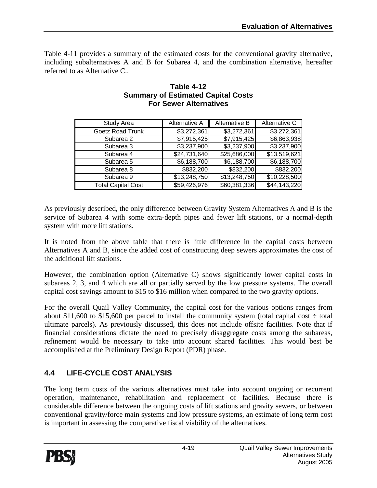Table 4-11 provides a summary of the estimated costs for the conventional gravity alternative, including subalternatives A and B for Subarea 4, and the combination alternative, hereafter referred to as Alternative C..

| <b>Study Area</b>         | Alternative A | Alternative B | Alternative C |
|---------------------------|---------------|---------------|---------------|
| <b>Goetz Road Trunk</b>   | \$3,272,361   | \$3,272,361   | \$3,272,361   |
| Subarea 2                 | \$7,915,425   | \$7,915,425   | \$6,863,938   |
| Subarea 3                 | \$3,237,900   | \$3,237,900   | \$3,237,900   |
| Subarea 4                 | \$24,731,640  | \$25,686,000  | \$13,519,621  |
| Subarea 5                 | \$6,188,700   | \$6,188,700   | \$6,188,700   |
| Subarea 8                 | \$832,200     | \$832,200     | \$832,200     |
| Subarea 9                 | \$13,248,750  | \$13,248,750  | \$10,228,500  |
| <b>Total Capital Cost</b> | \$59,426,976  | \$60,381,336  | \$44,143,220  |
|                           |               |               |               |

#### **Table 4-12 Summary of Estimated Capital Costs For Sewer Alternatives**

As previously described, the only difference between Gravity System Alternatives A and B is the service of Subarea 4 with some extra-depth pipes and fewer lift stations, or a normal-depth system with more lift stations.

It is noted from the above table that there is little difference in the capital costs between Alternatives A and B, since the added cost of constructing deep sewers approximates the cost of the additional lift stations.

However, the combination option (Alternative C) shows significantly lower capital costs in subareas 2, 3, and 4 which are all or partially served by the low pressure systems. The overall capital cost savings amount to \$15 to \$16 million when compared to the two gravity options.

For the overall Quail Valley Community, the capital cost for the various options ranges from about \$11,600 to \$15,600 per parcel to install the community system (total capital cost  $\div$  total ultimate parcels). As previously discussed, this does not include offsite facilities. Note that if financial considerations dictate the need to precisely disaggregate costs among the subareas, refinement would be necessary to take into account shared facilities. This would best be accomplished at the Preliminary Design Report (PDR) phase.

#### **4.4 LIFE-CYCLE COST ANALYSIS**

The long term costs of the various alternatives must take into account ongoing or recurrent operation, maintenance, rehabilitation and replacement of facilities. Because there is considerable difference between the ongoing costs of lift stations and gravity sewers, or between conventional gravity/force main systems and low pressure systems, an estimate of long term cost is important in assessing the comparative fiscal viability of the alternatives.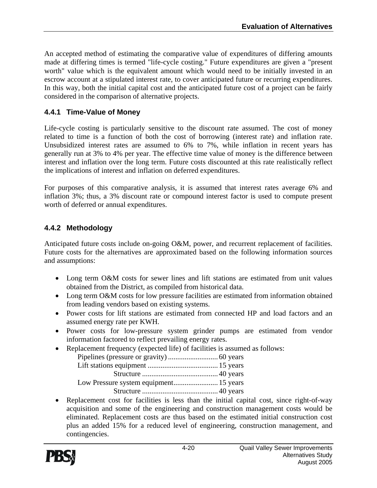An accepted method of estimating the comparative value of expenditures of differing amounts made at differing times is termed "life-cycle costing." Future expenditures are given a "present worth" value which is the equivalent amount which would need to be initially invested in an escrow account at a stipulated interest rate, to cover anticipated future or recurring expenditures. In this way, both the initial capital cost and the anticipated future cost of a project can be fairly considered in the comparison of alternative projects.

#### **4.4.1 Time-Value of Money**

Life-cycle costing is particularly sensitive to the discount rate assumed. The cost of money related to time is a function of both the cost of borrowing (interest rate) and inflation rate. Unsubsidized interest rates are assumed to 6% to 7%, while inflation in recent years has generally run at 3% to 4% per year. The effective time value of money is the difference between interest and inflation over the long term. Future costs discounted at this rate realistically reflect the implications of interest and inflation on deferred expenditures.

For purposes of this comparative analysis, it is assumed that interest rates average 6% and inflation 3%; thus, a 3% discount rate or compound interest factor is used to compute present worth of deferred or annual expenditures.

#### **4.4.2 Methodology**

Anticipated future costs include on-going O&M, power, and recurrent replacement of facilities. Future costs for the alternatives are approximated based on the following information sources and assumptions:

- Long term O&M costs for sewer lines and lift stations are estimated from unit values obtained from the District, as compiled from historical data.
- Long term O&M costs for low pressure facilities are estimated from information obtained from leading vendors based on existing systems.
- Power costs for lift stations are estimated from connected HP and load factors and an assumed energy rate per KWH.
- Power costs for low-pressure system grinder pumps are estimated from vendor information factored to reflect prevailing energy rates.
- Replacement frequency (expected life) of facilities is assumed as follows:

• Replacement cost for facilities is less than the initial capital cost, since right-of-way acquisition and some of the engineering and construction management costs would be eliminated. Replacement costs are thus based on the estimated initial construction cost plus an added 15% for a reduced level of engineering, construction management, and contingencies.

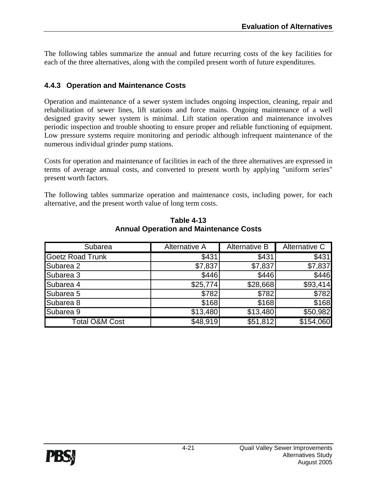The following tables summarize the annual and future recurring costs of the key facilities for each of the three alternatives, along with the compiled present worth of future expenditures.

#### **4.4.3 Operation and Maintenance Costs**

Operation and maintenance of a sewer system includes ongoing inspection, cleaning, repair and rehabilitation of sewer lines, lift stations and force mains. Ongoing maintenance of a well designed gravity sewer system is minimal. Lift station operation and maintenance involves periodic inspection and trouble shooting to ensure proper and reliable functioning of equipment. Low pressure systems require monitoring and periodic although infrequent maintenance of the numerous individual grinder pump stations.

Costs for operation and maintenance of facilities in each of the three alternatives are expressed in terms of average annual costs, and converted to present worth by applying "uniform series" present worth factors.

The following tables summarize operation and maintenance costs, including power, for each alternative, and the present worth value of long term costs.

| Subarea                   | Alternative A | <b>Alternative B</b> | Alternative C |
|---------------------------|---------------|----------------------|---------------|
| <b>Goetz Road Trunk</b>   | \$431         | \$431                | \$431         |
| Subarea 2                 | \$7,837       | \$7,837              | \$7,837       |
| Subarea 3                 | \$446         | \$446                | \$446         |
| Subarea 4                 | \$25,774      | \$28,668             | \$93,414      |
| Subarea 5                 | \$782         | \$782                | \$782         |
| Subarea 8                 | \$168         | \$168                | \$168         |
| Subarea 9                 | \$13,480      | \$13,480             | \$50,982      |
| <b>Total O&amp;M Cost</b> | \$48,919      | \$51,812             | \$154,060     |

**Table 4-13 Annual Operation and Maintenance Costs**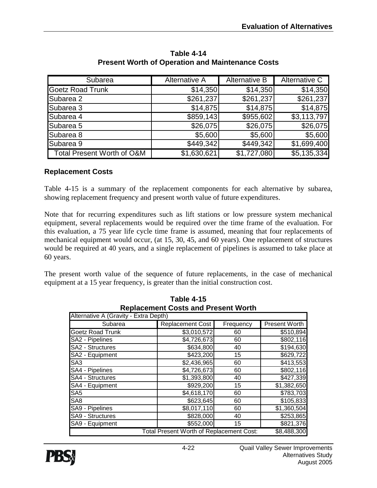| Subarea                               | Alternative A | <b>Alternative B</b> | Alternative C |
|---------------------------------------|---------------|----------------------|---------------|
| <b>Goetz Road Trunk</b>               | \$14,350      | \$14,350             | \$14,350      |
| Subarea 2                             | \$261,237     | \$261,237            | \$261,237     |
| Subarea 3                             | \$14,875      | \$14,875             | \$14,875      |
| Subarea 4                             | \$859,143     | \$955,602            | \$3,113,797   |
| Subarea 5                             | \$26,075      | \$26,075             | \$26,075      |
| Subarea 8                             | \$5,600       | \$5,600              | \$5,600       |
| Subarea 9                             | \$449,342     | \$449,342            | \$1,699,400   |
| <b>Total Present Worth of O&amp;M</b> | \$1,630,621   | \$1,727,080          | \$5,135,334   |

**Table 4-14 Present Worth of Operation and Maintenance Costs** 

#### **Replacement Costs**

Table 4-15 is a summary of the replacement components for each alternative by subarea, showing replacement frequency and present worth value of future expenditures.

Note that for recurring expenditures such as lift stations or low pressure system mechanical equipment, several replacements would be required over the time frame of the evaluation. For this evaluation, a 75 year life cycle time frame is assumed, meaning that four replacements of mechanical equipment would occur, (at 15, 30, 45, and 60 years). One replacement of structures would be required at 40 years, and a single replacement of pipelines is assumed to take place at 60 years.

The present worth value of the sequence of future replacements, in the case of mechanical equipment at a 15 year frequency, is greater than the initial construction cost.

| Replacement Costs and Fresent Worth   |                                                 |           |               |
|---------------------------------------|-------------------------------------------------|-----------|---------------|
| Alternative A (Gravity - Extra Depth) |                                                 |           |               |
| Subarea                               | <b>Replacement Cost</b>                         | Frequency | Present Worth |
| <b>Goetz Road Trunk</b>               | \$3,010,572                                     | 60        | \$510,894     |
| SA2 - Pipelines                       | \$4,726,673                                     | 60        | \$802,116     |
| SA2 - Structures                      | \$634,800                                       | 40        | \$194,630     |
| SA2 - Equipment                       | \$423,200                                       | 15        | \$629,722     |
| SA <sub>3</sub>                       | \$2,436,965                                     | 60        | \$413,553     |
| SA4 - Pipelines                       | \$4,726,673                                     | 60        | \$802,116     |
| SA4 - Structures                      | \$1,393,800                                     | 40        | \$427,339     |
| SA4 - Equipment                       | \$929,200                                       | 15        | \$1,382,650   |
| SA <sub>5</sub>                       | \$4,618,170                                     | 60        | \$783,703     |
| SA <sub>8</sub>                       | \$623,645                                       | 60        | \$105,833     |
| SA9 - Pipelines                       | \$8,017,110                                     | 60        | \$1,360,504   |
| <b>SA9 - Structures</b>               | \$828,000                                       | 40        | \$253,865     |
| SA9 - Equipment                       | \$552,000                                       | 15        | \$821,376     |
|                                       | <b>Total Present Worth of Replacement Cost:</b> |           | \$8,488,300   |

**Table 4-15 Replacement Costs and Present Worth** 

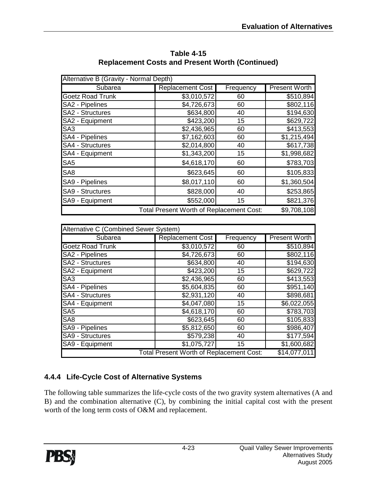| Alternative B (Gravity - Normal Depth) |                                          |           |                      |
|----------------------------------------|------------------------------------------|-----------|----------------------|
| Subarea                                | <b>Replacement Cost</b>                  | Frequency | <b>Present Worth</b> |
| <b>Goetz Road Trunk</b>                | \$3,010,572                              | 60        | \$510,894            |
| SA2 - Pipelines                        | \$4,726,673                              | 60        | \$802,116            |
| <b>SA2 - Structures</b>                | \$634,800                                | 40        | \$194,630            |
| SA2 - Equipment                        | \$423,200                                | 15        | \$629,722            |
| SA <sub>3</sub>                        | \$2,436,965                              | 60        | \$413,553            |
| SA4 - Pipelines                        | \$7,162,603                              | 60        | \$1,215,494          |
| SA4 - Structures                       | \$2,014,800                              | 40        | \$617,738            |
| SA4 - Equipment                        | \$1,343,200                              | 15        | \$1,998,682          |
| SA <sub>5</sub>                        | \$4,618,170                              | 60        | \$783,703            |
| SA <sub>8</sub>                        | \$623,645                                | 60        | \$105,833            |
| SA9 - Pipelines                        | \$8,017,110                              | 60        | \$1,360,504          |
| SA9 - Structures                       | \$828,000                                | 40        | \$253,865            |
| SA9 - Equipment                        | \$552,000                                | 15        | \$821,376            |
|                                        | Total Present Worth of Replacement Cost: |           | \$9,708,108          |

**Table 4-15 Replacement Costs and Present Worth (Continued)** 

| Alternative C (Combined Sewer System)           |                         |           |                       |
|-------------------------------------------------|-------------------------|-----------|-----------------------|
| Subarea                                         | <b>Replacement Cost</b> | Frequency | <b>Present Worth</b>  |
| <b>Goetz Road Trunk</b>                         | \$3,010,572             | 60        | \$510,894             |
| SA2 - Pipelines                                 | \$4,726,673             | 60        | $\overline{$802,116}$ |
| <b>SA2 - Structures</b>                         | \$634,800               | 40        | \$194,630             |
| SA2 - Equipment                                 | \$423,200               | 15        | \$629,722             |
| SA <sub>3</sub>                                 | \$2,436,965             | 60        | \$413,553             |
| SA4 - Pipelines                                 | \$5,604,835             | 60        | \$951,140             |
| SA4 - Structures                                | \$2,931,120             | 40        | \$898,681             |
| SA4 - Equipment                                 | \$4,047,080             | 15        | \$6,022,055           |
| SA <sub>5</sub>                                 | \$4,618,170             | 60        | \$783,703             |
| SA <sub>8</sub>                                 | \$623,645               | 60        | \$105,833             |
| SA9 - Pipelines                                 | \$5,812,650             | 60        | \$986,407             |
| <b>SA9 - Structures</b>                         | \$579,238               | 40        | \$177,594             |
| SA9 - Equipment                                 | \$1,075,727             | 15        | \$1,600,682           |
| <b>Total Present Worth of Replacement Cost:</b> |                         |           | \$14,077,011          |

#### **4.4.4 Life-Cycle Cost of Alternative Systems**

The following table summarizes the life-cycle costs of the two gravity system alternatives (A and B) and the combination alternative (C), by combining the initial capital cost with the present worth of the long term costs of O&M and replacement.

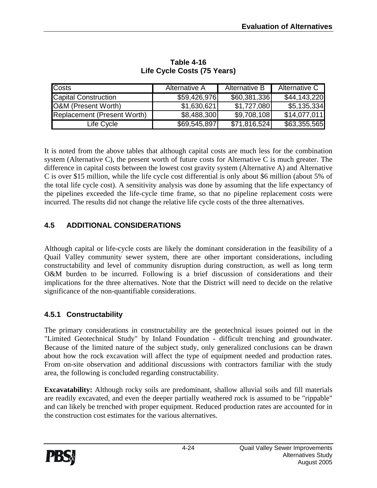| <b>Costs</b>                | Alternative A | Alternative B | Alternative C |
|-----------------------------|---------------|---------------|---------------|
| <b>Capital Construction</b> | \$59,426,976  | \$60,381,336  | \$44,143,220  |
| O&M (Present Worth)         | \$1,630,621   | \$1,727,080   | \$5,135,334   |
| Replacement (Present Worth) | \$8,488,300   | \$9,708,108   | \$14,077,011  |
| Life Cycle                  | \$69,545,897  | \$71,816,524  | \$63,355,565  |

#### **Table 4-16 Life Cycle Costs (75 Years)**

It is noted from the above tables that although capital costs are much less for the combination system (Alternative C), the present worth of future costs for Alternative C is much greater. The difference in capital costs between the lowest cost gravity system (Alternative A) and Alternative C is over \$15 million, while the life cycle cost differential is only about \$6 million (about 5% of the total life cycle cost). A sensitivity analysis was done by assuming that the life expectancy of the pipelines exceeded the life-cycle time frame, so that no pipeline replacement costs were incurred. The results did not change the relative life cycle costs of the three alternatives.

#### **4.5 ADDITIONAL CONSIDERATIONS**

Although capital or life-cycle costs are likely the dominant consideration in the feasibility of a Quail Valley community sewer system, there are other important considerations, including constructability and level of community disruption during construction, as well as long term O&M burden to be incurred. Following is a brief discussion of considerations and their implications for the three alternatives. Note that the District will need to decide on the relative significance of the non-quantifiable considerations.

#### **4.5.1 Constructability**

The primary considerations in constructability are the geotechnical issues pointed out in the "Limited Geotechnical Study" by Inland Foundation - difficult trenching and groundwater. Because of the limited nature of the subject study, only generalized conclusions can be drawn about how the rock excavation will affect the type of equipment needed and production rates. From on-site observation and additional discussions with contractors familiar with the study area, the following is concluded regarding constructability.

**Excavatability:** Although rocky soils are predominant, shallow alluvial soils and fill materials are readily excavated, and even the deeper partially weathered rock is assumed to be "rippable" and can likely be trenched with proper equipment. Reduced production rates are accounted for in the construction cost estimates for the various alternatives.

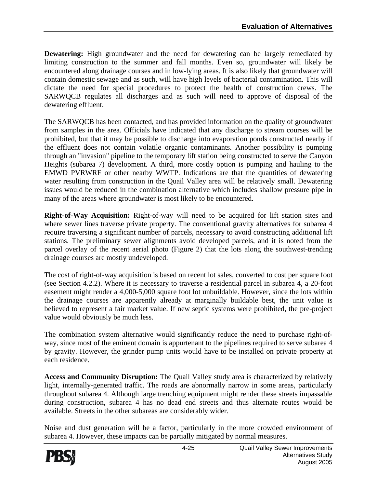**Dewatering:** High groundwater and the need for dewatering can be largely remediated by limiting construction to the summer and fall months. Even so, groundwater will likely be encountered along drainage courses and in low-lying areas. It is also likely that groundwater will contain domestic sewage and as such, will have high levels of bacterial contamination. This will dictate the need for special procedures to protect the health of construction crews. The SARWQCB regulates all discharges and as such will need to approve of disposal of the dewatering effluent.

The SARWQCB has been contacted, and has provided information on the quality of groundwater from samples in the area. Officials have indicated that any discharge to stream courses will be prohibited, but that it may be possible to discharge into evaporation ponds constructed nearby if the effluent does not contain volatile organic contaminants. Another possibility is pumping through an "invasion" pipeline to the temporary lift station being constructed to serve the Canyon Heights (subarea 7) development. A third, more costly option is pumping and hauling to the EMWD PVRWRF or other nearby WWTP. Indications are that the quantities of dewatering water resulting from construction in the Quail Valley area will be relatively small. Dewatering issues would be reduced in the combination alternative which includes shallow pressure pipe in many of the areas where groundwater is most likely to be encountered.

**Right-of-Way Acquisition:** Right-of-way will need to be acquired for lift station sites and where sewer lines traverse private property. The conventional gravity alternatives for subarea 4 require traversing a significant number of parcels, necessary to avoid constructing additional lift stations. The preliminary sewer alignments avoid developed parcels, and it is noted from the parcel overlay of the recent aerial photo (Figure 2) that the lots along the southwest-trending drainage courses are mostly undeveloped.

The cost of right-of-way acquisition is based on recent lot sales, converted to cost per square foot (see Section 4.2.2). Where it is necessary to traverse a residential parcel in subarea 4, a 20-foot easement might render a 4,000-5,000 square foot lot unbuildable. However, since the lots within the drainage courses are apparently already at marginally buildable best, the unit value is believed to represent a fair market value. If new septic systems were prohibited, the pre-project value would obviously be much less.

The combination system alternative would significantly reduce the need to purchase right-ofway, since most of the eminent domain is appurtenant to the pipelines required to serve subarea 4 by gravity. However, the grinder pump units would have to be installed on private property at each residence.

**Access and Community Disruption:** The Quail Valley study area is characterized by relatively light, internally-generated traffic. The roads are abnormally narrow in some areas, particularly throughout subarea 4. Although large trenching equipment might render these streets impassable during construction, subarea 4 has no dead end streets and thus alternate routes would be available. Streets in the other subareas are considerably wider.

Noise and dust generation will be a factor, particularly in the more crowded environment of subarea 4. However, these impacts can be partially mitigated by normal measures.

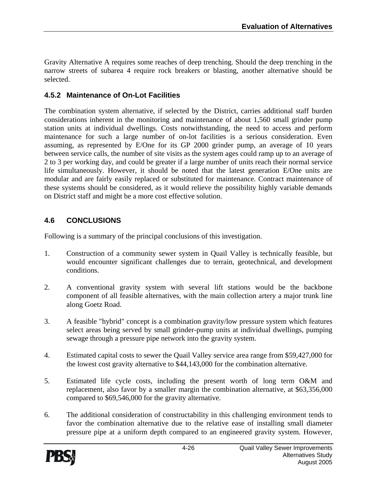Gravity Alternative A requires some reaches of deep trenching. Should the deep trenching in the narrow streets of subarea 4 require rock breakers or blasting, another alternative should be selected.

#### **4.5.2 Maintenance of On-Lot Facilities**

The combination system alternative, if selected by the District, carries additional staff burden considerations inherent in the monitoring and maintenance of about 1,560 small grinder pump station units at individual dwellings. Costs notwithstanding, the need to access and perform maintenance for such a large number of on-lot facilities is a serious consideration. Even assuming, as represented by E/One for its GP 2000 grinder pump, an average of 10 years between service calls, the number of site visits as the system ages could ramp up to an average of 2 to 3 per working day, and could be greater if a large number of units reach their normal service life simultaneously. However, it should be noted that the latest generation E/One units are modular and are fairly easily replaced or substituted for maintenance. Contract maintenance of these systems should be considered, as it would relieve the possibility highly variable demands on District staff and might be a more cost effective solution.

#### **4.6 CONCLUSIONS**

Following is a summary of the principal conclusions of this investigation.

- 1. Construction of a community sewer system in Quail Valley is technically feasible, but would encounter significant challenges due to terrain, geotechnical, and development conditions.
- 2. A conventional gravity system with several lift stations would be the backbone component of all feasible alternatives, with the main collection artery a major trunk line along Goetz Road.
- 3. A feasible "hybrid" concept is a combination gravity/low pressure system which features select areas being served by small grinder-pump units at individual dwellings, pumping sewage through a pressure pipe network into the gravity system.
- 4. Estimated capital costs to sewer the Quail Valley service area range from \$59,427,000 for the lowest cost gravity alternative to \$44,143,000 for the combination alternative.
- 5. Estimated life cycle costs, including the present worth of long term O&M and replacement, also favor by a smaller margin the combination alternative, at \$63,356,000 compared to \$69,546,000 for the gravity alternative.
- 6. The additional consideration of constructability in this challenging environment tends to favor the combination alternative due to the relative ease of installing small diameter pressure pipe at a uniform depth compared to an engineered gravity system. However,

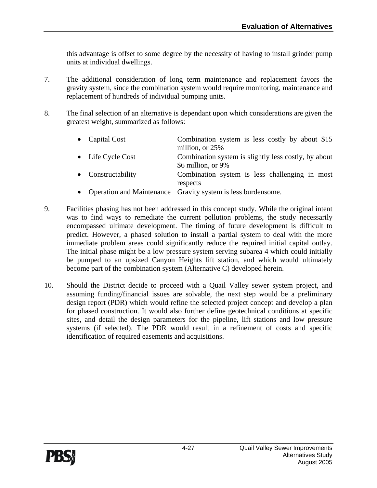this advantage is offset to some degree by the necessity of having to install grinder pump units at individual dwellings.

- 7. The additional consideration of long term maintenance and replacement favors the gravity system, since the combination system would require monitoring, maintenance and replacement of hundreds of individual pumping units.
- 8. The final selection of an alternative is dependant upon which considerations are given the greatest weight, summarized as follows:

| • Capital Cost            | Combination system is less costly by about \$15<br>million, or 25%         |
|---------------------------|----------------------------------------------------------------------------|
| $\bullet$ Life Cycle Cost | Combination system is slightly less costly, by about<br>\$6 million, or 9% |
| • Constructability        | Combination system is less challenging in most<br>respects                 |
|                           | • Operation and Maintenance Gravity system is less burdensome.             |

- 9. Facilities phasing has not been addressed in this concept study. While the original intent was to find ways to remediate the current pollution problems, the study necessarily encompassed ultimate development. The timing of future development is difficult to predict. However, a phased solution to install a partial system to deal with the more immediate problem areas could significantly reduce the required initial capital outlay. The initial phase might be a low pressure system serving subarea 4 which could initially be pumped to an upsized Canyon Heights lift station, and which would ultimately become part of the combination system (Alternative C) developed herein.
- 10. Should the District decide to proceed with a Quail Valley sewer system project, and assuming funding/financial issues are solvable, the next step would be a preliminary design report (PDR) which would refine the selected project concept and develop a plan for phased construction. It would also further define geotechnical conditions at specific sites, and detail the design parameters for the pipeline, lift stations and low pressure systems (if selected). The PDR would result in a refinement of costs and specific identification of required easements and acquisitions.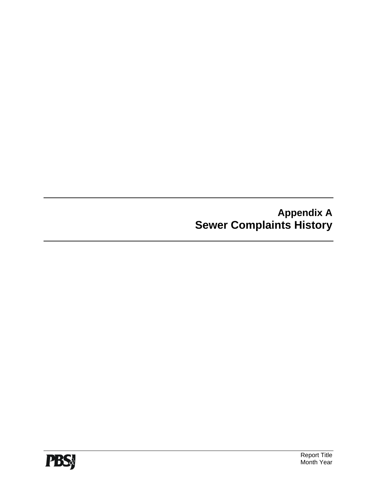**Appendix A Sewer Complaints History** 

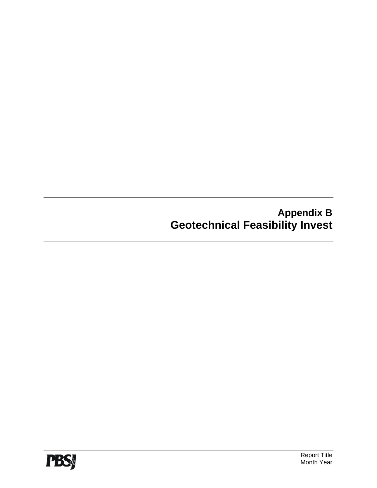**Appendix B Geotechnical Feasibility Invest**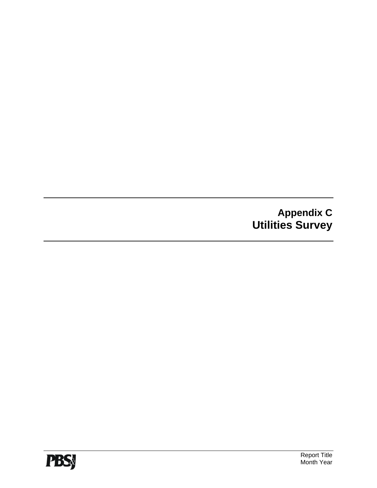**Appendix C Utilities Survey**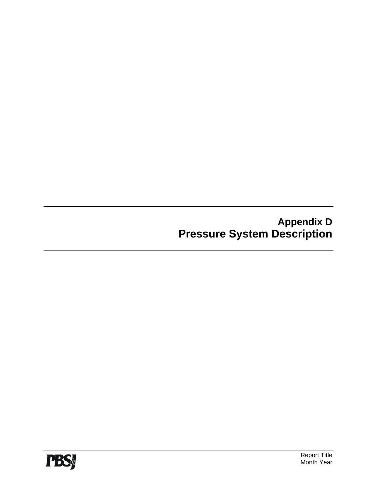**Appendix D Pressure System Description**